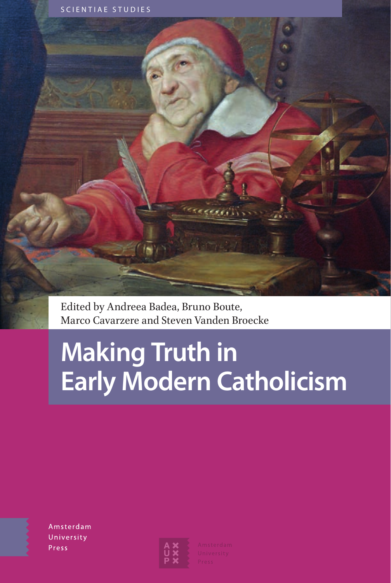

Edited by Andreea Badea, Bruno Boute, Marco Cavarzere and Steven Vanden Broecke

# **Making Truth in Early Modern Catholicism**

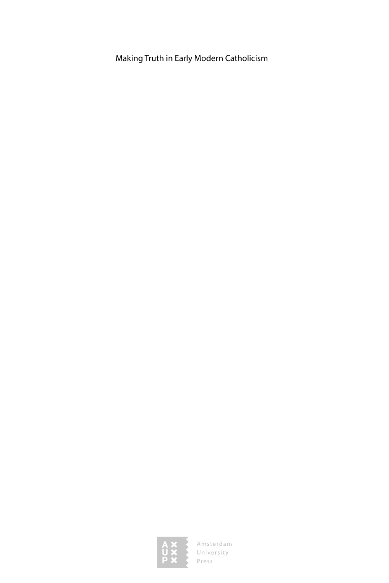Making Truth in Early Modern Catholicism

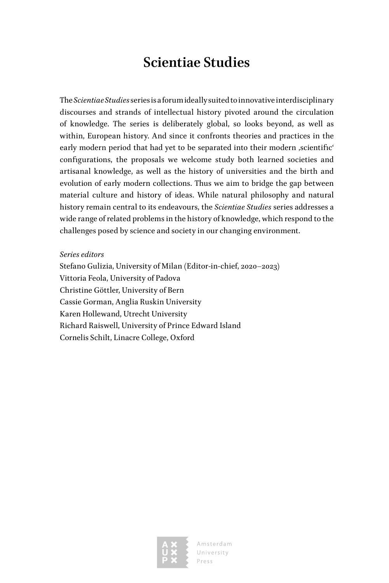### **Scientiae Studies**

The *Scientiae Studies* series is a forum ideally suited to innovative interdisciplinary discourses and strands of intellectual history pivoted around the circulation of knowledge. The series is deliberately global, so looks beyond, as well as within, European history. And since it confronts theories and practices in the early modern period that had yet to be separated into their modern , scientific' configurations, the proposals we welcome study both learned societies and artisanal knowledge, as well as the history of universities and the birth and evolution of early modern collections. Thus we aim to bridge the gap between material culture and history of ideas. While natural philosophy and natural history remain central to its endeavours, the *Scientiae Studies* series addresses a wide range of related problems in the history of knowledge, which respond to the challenges posed by science and society in our changing environment.

*Series editors*

Stefano Gulizia, University of Milan (Editor-in-chief, 2020–2023) Vittoria Feola, University of Padova Christine Göttler, University of Bern Cassie Gorman, Anglia Ruskin University Karen Hollewand, Utrecht University Richard Raiswell, University of Prince Edward Island Cornelis Schilt, Linacre College, Oxford

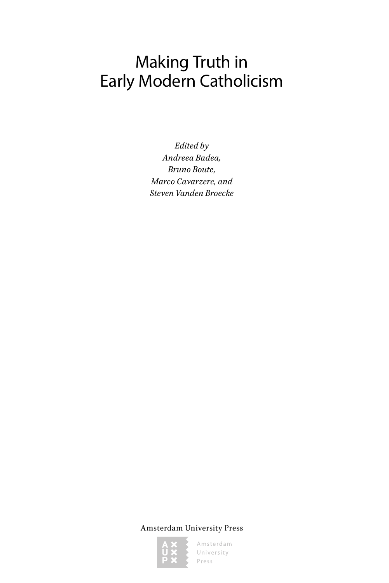# Making Truth in Early Modern Catholicism

*Edited by Andreea Badea, Bruno Boute, Marco Cavarzere, and Steven Vanden Broecke*

Amsterdam University Press

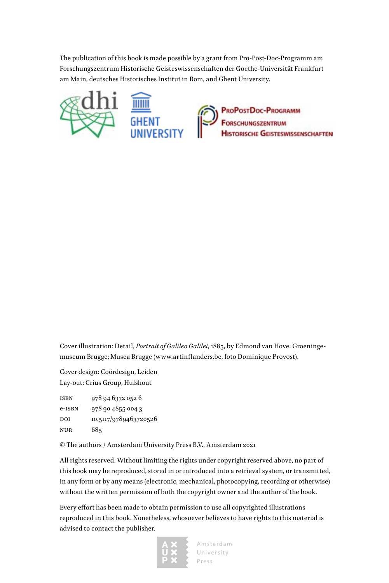The publication of this book is made possible by a grant from Pro-Post-Doc-Programm am Forschungszentrum Historische Geisteswissenschaften der Goethe-Universität Frankfurt am Main, deutsches Historisches Institut in Rom, and Ghent University.



ProPostDoc-Programm<br>Forschungszentrum **HISTORISCHE GEISTESWISSENSCHAFTEN** 

Cover illustration: Detail, *Portrait of Galileo Galilei*, 1885, by Edmond van Hove. Groeningemuseum Brugge; Musea Brugge (www.artinflanders.be, foto Dominique Provost).

Cover design: Coördesign, Leiden Lay-out: Crius Group, Hulshout

isbn 978 94 6372 052 6 e-isbn 978 90 4855 004 3 DOI 10.5117/9789463720526 nur 685

© The authors / Amsterdam University Press B.V., Amsterdam 2021

All rights reserved. Without limiting the rights under copyright reserved above, no part of this book may be reproduced, stored in or introduced into a retrieval system, or transmitted, in any form or by any means (electronic, mechanical, photocopying, recording or otherwise) without the written permission of both the copyright owner and the author of the book.

Every effort has been made to obtain permission to use all copyrighted illustrations reproduced in this book. Nonetheless, whosoever believes to have rights to this material is advised to contact the publisher.

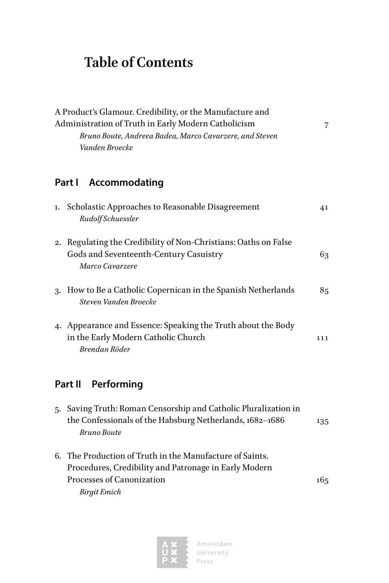## **Table of Contents**

|    | A Product's Glamour. Credibility, or the Manufacture and<br>Administration of Truth in Early Modern Catholicism<br>Bruno Boute, Andreea Badea, Marco Cavarzere, and Steven<br>Vanden Broecke | 7   |
|----|----------------------------------------------------------------------------------------------------------------------------------------------------------------------------------------------|-----|
|    | Accommodating<br>Part I                                                                                                                                                                      |     |
| ı. | Scholastic Approaches to Reasonable Disagreement<br>Rudolf Schuessler                                                                                                                        | 41  |
| 2. | Regulating the Credibility of Non-Christians: Oaths on False<br>Gods and Seventeenth-Century Casuistry<br>Marco Cavarzere                                                                    | 63  |
|    | 3. How to Be a Catholic Copernican in the Spanish Netherlands<br>Steven Vanden Broecke                                                                                                       | 85  |
|    | 4. Appearance and Essence: Speaking the Truth about the Body<br>in the Early Modern Catholic Church<br>Brendan Röder                                                                         | 111 |
|    | Performing<br>Part II                                                                                                                                                                        |     |
|    | 5. Saving Truth: Roman Censorship and Catholic Pluralization in<br>the Confessionals of the Habsburg Netherlands, 1682-1686<br><b>Bruno Boute</b>                                            | 135 |
|    | 6. The Production of Truth in the Manufacture of Saints.<br>Procedures, Credibility and Patronage in Early Modern<br>Processes of Canonization<br><b>Birgit Emich</b>                        | 165 |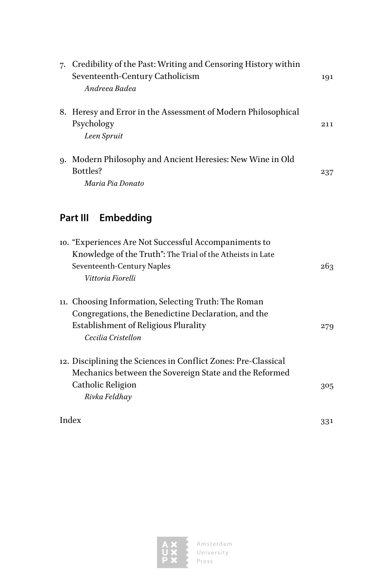| 7. | Credibility of the Past: Writing and Censoring History within<br>Seventeenth-Century Catholicism<br>Andreea Badea | 191 |
|----|-------------------------------------------------------------------------------------------------------------------|-----|
|    | 8. Heresy and Error in the Assessment of Modern Philosophical<br>Psychology<br>Leen Spruit                        | 211 |
| 9. | Modern Philosophy and Ancient Heresies: New Wine in Old<br>Bottles?<br>Maria Pia Donato                           | 237 |

### **[Part III](#page--1-0) [Embedding](#page--1-0)**

|       | 10. "Experiences Are Not Successful Accompaniments to          |     |
|-------|----------------------------------------------------------------|-----|
|       | Knowledge of the Truth": The Trial of the Atheists in Late     |     |
|       | Seventeenth-Century Naples                                     | 263 |
|       | Vittoria Fiorelli                                              |     |
|       | 11. Choosing Information, Selecting Truth: The Roman           |     |
|       | Congregations, the Benedictine Declaration, and the            |     |
|       | Establishment of Religious Plurality                           | 279 |
|       | Cecilia Cristellon                                             |     |
|       | 12. Disciplining the Sciences in Conflict Zones: Pre-Classical |     |
|       | Mechanics between the Sovereign State and the Reformed         |     |
|       | Catholic Religion                                              | 305 |
|       | Rivka Feldhay                                                  |     |
| Index |                                                                | 331 |

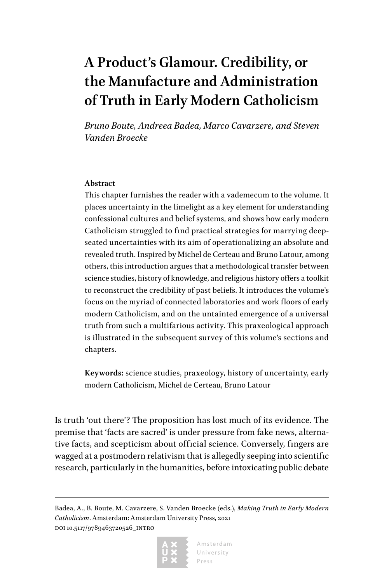## <span id="page-7-0"></span>**A Product's Glamour. Credibility, or the Manufacture and Administration of Truth in Early Modern Catholicism**

*Bruno Boute, Andreea Badea, Marco Cavarzere, and Steven Vanden Broecke*

#### **Abstract**

This chapter furnishes the reader with a vademecum to the volume. It places uncertainty in the limelight as a key element for understanding confessional cultures and belief systems, and shows how early modern Catholicism struggled to find practical strategies for marrying deepseated uncertainties with its aim of operationalizing an absolute and revealed truth. Inspired by Michel de Certeau and Bruno Latour, among others, this introduction argues that a methodological transfer between science studies, history of knowledge, and religious history offers a toolkit to reconstruct the credibility of past beliefs. It introduces the volume's focus on the myriad of connected laboratories and work floors of early modern Catholicism, and on the untainted emergence of a universal truth from such a multifarious activity. This praxeological approach is illustrated in the subsequent survey of this volume's sections and chapters.

**Keywords:** science studies, praxeology, history of uncertainty, early modern Catholicism, Michel de Certeau, Bruno Latour

Is truth 'out there'? The proposition has lost much of its evidence. The premise that 'facts are sacred' is under pressure from fake news, alternative facts, and scepticism about official science. Conversely, fingers are wagged at a postmodern relativism that is allegedly seeping into scientific research, particularly in the humanities, before intoxicating public debate

Badea, A., B. Boute, M. Cavarzere, S. Vanden Broecke (eds.), *Making Truth in Early Modern Catholicism*. Amsterdam: Amsterdam University Press, 2021 doi 10.5117/9789463720526\_intro

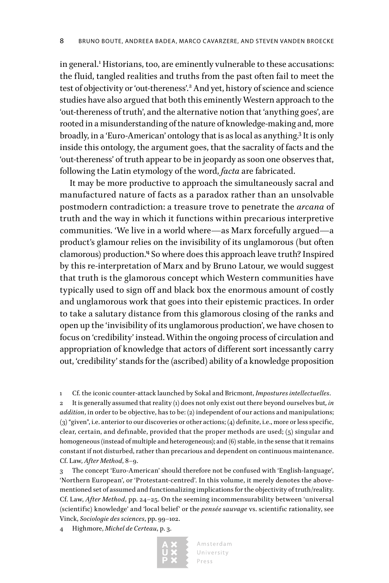in general.<sup>1</sup> Historians, too, are eminently vulnerable to these accusations: the fluid, tangled realities and truths from the past often fail to meet the test of objectivity or 'out-thereness'.<sup>2</sup> And yet, history of science and science studies have also argued that both this eminently Western approach to the 'out-thereness of truth', and the alternative notion that 'anything goes', are rooted in a misunderstanding of the nature of knowledge-making and, more broadly, in a 'Euro-American' ontology that is as local as anything.<sup>3</sup> It is only inside this ontology, the argument goes, that the sacrality of facts and the 'out-thereness' of truth appear to be in jeopardy as soon one observes that, following the Latin etymology of the word, *facta* are fabricated.

It may be more productive to approach the simultaneously sacral and manufactured nature of facts as a paradox rather than an unsolvable postmodern contradiction: a treasure trove to penetrate the *arcana* of truth and the way in which it functions within precarious interpretive communities. 'We live in a world where—as Marx forcefully argued—a product's glamour relies on the invisibility of its unglamorous (but often clamorous) production.'4 So where does this approach leave truth? Inspired by this re-interpretation of Marx and by Bruno Latour, we would suggest that truth is the glamorous concept which Western communities have typically used to sign off and black box the enormous amount of costly and unglamorous work that goes into their epistemic practices. In order to take a salutary distance from this glamorous closing of the ranks and open up the 'invisibility of its unglamorous production', we have chosen to focus on 'credibility' instead. Within the ongoing process of circulation and appropriation of knowledge that actors of different sort incessantly carry out, 'credibility' stands for the (ascribed) ability of a knowledge proposition

1 Cf. the iconic counter-attack launched by Sokal and Bricmont, *Impostures intellectuelles*.

2 It is generally assumed that reality (1) does not only exist out there beyond ourselves but*, in addition*, in order to be objective, has to be: (2) independent of our actions and manipulations; (3) "given", i.e. anterior to our discoveries or other actions; (4) definite, i.e., more or less specific, clear, certain, and definable, provided that the proper methods are used;  $(5)$  singular and homogeneous (instead of multiple and heterogeneous); and (6) stable, in the sense that it remains constant if not disturbed, rather than precarious and dependent on continuous maintenance. Cf. Law, *After Method*, 8–9.

3 The concept 'Euro-American' should therefore not be confused with 'English-language', 'Northern European', or 'Protestant-centred'. In this volume, it merely denotes the abovementioned set of assumed and functionalizing implications for the objectivity of truth/reality. Cf. Law, *After Method*, pp. 24–25. On the seeming incommensurability between 'universal (scientific) knowledge' and 'local belief' or the *pensée sauvage* vs. scientific rationality, see Vinck, *Sociologie des sciences*, pp. 99–102.

4 Highmore, *Michel de Certeau*, p. 3.

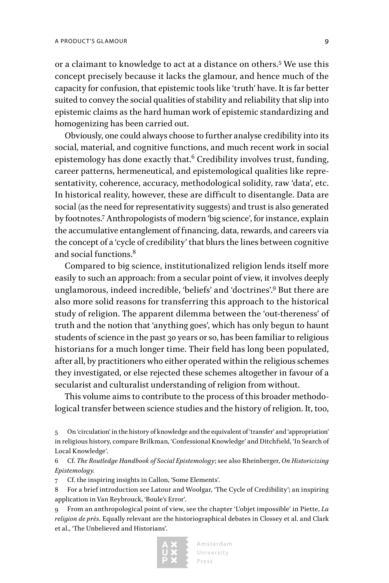or a claimant to knowledge to act at a distance on others.<sup>5</sup> We use this concept precisely because it lacks the glamour, and hence much of the capacity for confusion, that epistemic tools like 'truth' have. It is far better suited to convey the social qualities of stability and reliability that slip into epistemic claims as the hard human work of epistemic standardizing and homogenizing has been carried out.

Obviously, one could always choose to further analyse credibility into its social, material, and cognitive functions, and much recent work in social epistemology has done exactly that.<sup>6</sup> Credibility involves trust, funding, career patterns, hermeneutical, and epistemological qualities like representativity, coherence, accuracy, methodological solidity, raw 'data', etc. In historical reality, however, these are difficult to disentangle. Data are social (as the need for representativity suggests) and trust is also generated by footnotes.7 Anthropologists of modern 'big science', for instance, explain the accumulative entanglement of financing, data, rewards, and careers via the concept of a 'cycle of credibility' that blurs the lines between cognitive and social functions.<sup>8</sup>

Compared to big science, institutionalized religion lends itself more easily to such an approach: from a secular point of view, it involves deeply unglamorous, indeed incredible, 'beliefs' and 'doctrines'.<sup>9</sup> But there are also more solid reasons for transferring this approach to the historical study of religion. The apparent dilemma between the 'out-thereness' of truth and the notion that 'anything goes', which has only begun to haunt students of science in the past 30 years or so, has been familiar to religious historians for a much longer time. Their field has long been populated, after all, by practitioners who either operated within the religious schemes they investigated, or else rejected these schemes altogether in favour of a secularist and culturalist understanding of religion from without.

This volume aims to contribute to the process of this broader methodological transfer between science studies and the history of religion. It, too,

6 Cf. *The Routledge Handbook of Social Epistemology*; see also Rheinberger, *On Historicizing Epistemology.*

7 Cf. the inspiring insights in Callon, 'Some Elements'.

8 For a brief introduction see Latour and Woolgar, 'The Cycle of Credibility'; an inspiring application in Van Reybrouck, 'Boule's Error'.

<sup>9</sup> From an anthropological point of view, see the chapter 'L'objet impossible' in Piette, *La religion de près.* Equally relevant are the historiographical debates in Clossey et al. and Clark et al., 'The Unbelieved and Historians'.



<sup>5</sup> On 'circulation' in the history of knowledge and the equivalent of 'transfer' and 'appropriation' in religious history, compare Brilkman, 'Confessional Knowledge' and Ditchfield, 'In Search of Local Knowledge'.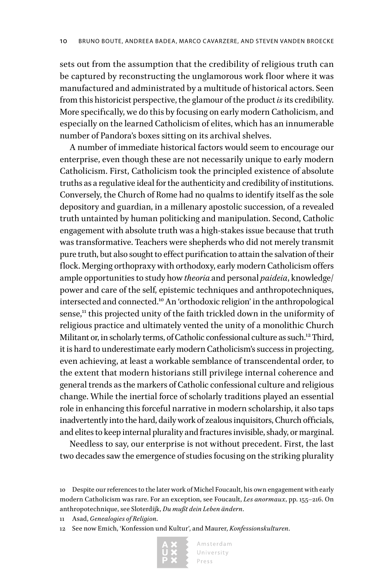sets out from the assumption that the credibility of religious truth can be captured by reconstructing the unglamorous work floor where it was manufactured and administrated by a multitude of historical actors. Seen from this historicist perspective, the glamour of the product *is* its credibility. More specifically, we do this by focusing on early modern Catholicism, and especially on the learned Catholicism of elites, which has an innumerable number of Pandora's boxes sitting on its archival shelves.

A number of immediate historical factors would seem to encourage our enterprise, even though these are not necessarily unique to early modern Catholicism. First, Catholicism took the principled existence of absolute truths as a regulative ideal for the authenticity and credibility of institutions. Conversely, the Church of Rome had no qualms to identify itself as the sole depository and guardian, in a millenary apostolic succession, of a revealed truth untainted by human politicking and manipulation. Second, Catholic engagement with absolute truth was a high-stakes issue because that truth was transformative. Teachers were shepherds who did not merely transmit pure truth, but also sought to effect purification to attain the salvation of their flock. Merging orthopraxy with orthodoxy, early modern Catholicism offers ample opportunities to study how *theoria* and personal *paideia*, knowledge/ power and care of the self, epistemic techniques and anthropotechniques, intersected and connected.10 An 'orthodoxic religion' in the anthropological sense,<sup>11</sup> this projected unity of the faith trickled down in the uniformity of religious practice and ultimately vented the unity of a monolithic Church Militant or, in scholarly terms, of Catholic confessional culture as such.<sup>12</sup> Third, it is hard to underestimate early modern Catholicism's success in projecting, even achieving, at least a workable semblance of transcendental order, to the extent that modern historians still privilege internal coherence and general trends as the markers of Catholic confessional culture and religious change. While the inertial force of scholarly traditions played an essential role in enhancing this forceful narrative in modern scholarship, it also taps inadvertently into the hard, daily work of zealous inquisitors, Church officials, and elites to keep internal plurality and fractures invisible, shady, or marginal.

Needless to say, our enterprise is not without precedent. First, the last two decades saw the emergence of studies focusing on the striking plurality

<sup>12</sup> See now Emich, 'Konfession und Kultur', and Maurer, *Konfessionskulturen*.



<sup>10</sup> Despite our references to the later work of Michel Foucault, his own engagement with early modern Catholicism was rare. For an exception, see Foucault, *Les anormaux*, pp. 155–216. On anthropotechnique, see Sloterdijk, *Du mußt dein Leben ändern*.

<sup>11</sup> Asad, *Genealogies of Religion*.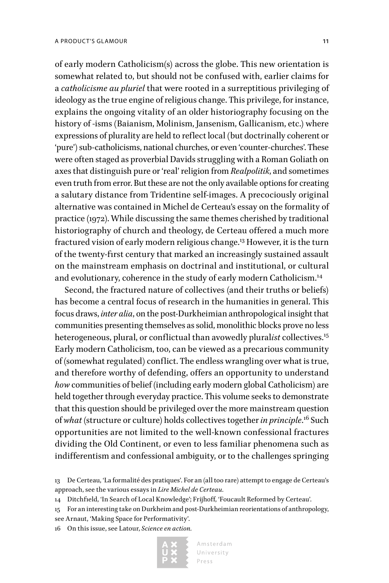of early modern Catholicism(s) across the globe. This new orientation is somewhat related to, but should not be confused with, earlier claims for a *catholicisme au pluriel* that were rooted in a surreptitious privileging of ideology as the true engine of religious change. This privilege, for instance, explains the ongoing vitality of an older historiography focusing on the history of -isms (Baianism, Molinism, Jansenism, Gallicanism, etc.) where expressions of plurality are held to reflect local (but doctrinally coherent or 'pure') sub-catholicisms, national churches, or even 'counter-churches'. These were often staged as proverbial Davids struggling with a Roman Goliath on axes that distinguish pure or 'real' religion from *Realpolitik*, and sometimes even truth from error. But these are not the only available options for creating a salutary distance from Tridentine self-images. A precociously original alternative was contained in Michel de Certeau's essay on the formality of practice (1972). While discussing the same themes cherished by traditional historiography of church and theology, de Certeau offered a much more fractured vision of early modern religious change.13 However, it is the turn of the twenty-first century that marked an increasingly sustained assault on the mainstream emphasis on doctrinal and institutional, or cultural and evolutionary, coherence in the study of early modern Catholicism.<sup>14</sup>

Second, the fractured nature of collectives (and their truths or beliefs) has become a central focus of research in the humanities in general. This focus draws, *inter alia*, on the post-Durkheimian anthropological insight that communities presenting themselves as solid, monolithic blocks prove no less heterogeneous, plural, or conflictual than avowedly plural*ist* collectives.<sup>15</sup> Early modern Catholicism, too, can be viewed as a precarious community of (somewhat regulated) conflict. The endless wrangling over what is true, and therefore worthy of defending, offers an opportunity to understand *how* communities of belief (including early modern global Catholicism) are held together through everyday practice. This volume seeks to demonstrate that this question should be privileged over the more mainstream question of *what* (structure or culture) holds collectives together *in principle*. 16 Such opportunities are not limited to the well-known confessional fractures dividing the Old Continent, or even to less familiar phenomena such as indifferentism and confessional ambiguity, or to the challenges springing

16 On this issue, see Latour, *Science en action.*



<sup>13</sup> De Certeau, 'La formalité des pratiques'. For an (all too rare) attempt to engage de Certeau's approach, see the various essays in *Lire Michel de Certeau.*

<sup>14</sup> Ditchfield, 'In Search of Local Knowledge'; Frijhoff, 'Foucault Reformed by Certeau'.

<sup>15</sup> For an interesting take on Durkheim and post-Durkheimian reorientations of anthropology,

see Arnaut, 'Making Space for Performativity'.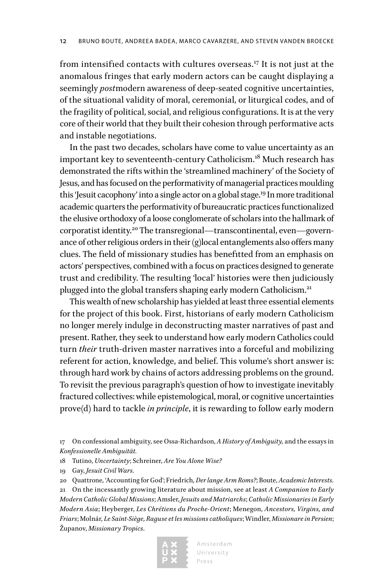from intensified contacts with cultures overseas.<sup>17</sup> It is not just at the anomalous fringes that early modern actors can be caught displaying a seemingly *post*modern awareness of deep-seated cognitive uncertainties, of the situational validity of moral, ceremonial, or liturgical codes, and of the fragility of political, social, and religious configurations. It is at the very core of their world that they built their cohesion through performative acts and instable negotiations.

In the past two decades, scholars have come to value uncertainty as an important key to seventeenth-century Catholicism.18 Much research has demonstrated the rifts within the 'streamlined machinery' of the Society of Jesus, and has focused on the performativity of managerial practices moulding this 'Jesuit cacophony' into a single actor on a global stage.19 In more traditional academic quarters the performativity of bureaucratic practices functionalized the elusive orthodoxy of a loose conglomerate of scholars into the hallmark of corporatist identity.20 The transregional—transcontinental, even—governance of other religious orders in their (g)local entanglements also offers many clues. The field of missionary studies has benefitted from an emphasis on actors' perspectives, combined with a focus on practices designed to generate trust and credibility. The resulting 'local' histories were then judiciously plugged into the global transfers shaping early modern Catholicism.<sup>21</sup>

This wealth of new scholarship has yielded at least three essential elements for the project of this book. First, historians of early modern Catholicism no longer merely indulge in deconstructing master narratives of past and present. Rather, they seek to understand how early modern Catholics could turn *their* truth-driven master narratives into a forceful and mobilizing referent for action, knowledge, and belief. This volume's short answer is: through hard work by chains of actors addressing problems on the ground. To revisit the previous paragraph's question of how to investigate inevitably fractured collectives: while epistemological, moral, or cognitive uncertainties prove(d) hard to tackle *in principle*, it is rewarding to follow early modern

18 Tutino, *Uncertainty*; Schreiner, *Are You Alone Wise?*

<sup>21</sup> On the incessantly growing literature about mission, see at least *A Companion to Early Modern Catholic Global Missions*; Amsler, *Jesuits and Matriarchs*; *Catholic Missionaries in Early Modern Asia*; Heyberger, *Les Chrétiens du Proche-Orient*; Menegon, *Ancestors, Virgins, and Friars*; Molnár, *Le Saint-Siège, Raguse et les missions catholiques*; Windler, *Missionare in Persien*; Županov, *Missionary Tropics*.



<sup>17</sup> On confessional ambiguity, see Ossa-Richardson, *A History of Ambiguity,* and the essays in *Konfessionelle Ambiguität.*

<sup>19</sup> Gay, *Jesuit Civil Wars.*

<sup>20</sup> Quattrone, 'Accounting for God'; Friedrich*, Der lange Arm Roms?*; Boute, *Academic Interests.*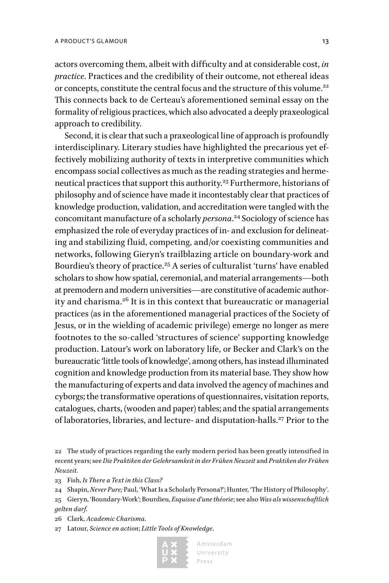actors overcoming them, albeit with difficulty and at considerable cost, *in practice*. Practices and the credibility of their outcome, not ethereal ideas or concepts, constitute the central focus and the structure of this volume.<sup>22</sup> This connects back to de Certeau's aforementioned seminal essay on the formality of religious practices, which also advocated a deeply praxeological approach to credibility.

Second, it is clear that such a praxeological line of approach is profoundly interdisciplinary. Literary studies have highlighted the precarious yet effectively mobilizing authority of texts in interpretive communities which encompass social collectives as much as the reading strategies and hermeneutical practices that support this authority.23 Furthermore, historians of philosophy and of science have made it incontestably clear that practices of knowledge production, validation, and accreditation were tangled with the concomitant manufacture of a scholarly *persona*. 24 Sociology of science has emphasized the role of everyday practices of in- and exclusion for delineating and stabilizing fluid, competing, and/or coexisting communities and networks, following Gieryn's trailblazing article on boundary-work and Bourdieu's theory of practice.<sup>25</sup> A series of culturalist 'turns' have enabled scholars to show how spatial, ceremonial, and material arrangements—both at premodern and modern universities—are constitutive of academic authority and charisma.26 It is in this context that bureaucratic or managerial practices (as in the aforementioned managerial practices of the Society of Jesus, or in the wielding of academic privilege) emerge no longer as mere footnotes to the so-called 'structures of science' supporting knowledge production. Latour's work on laboratory life, or Becker and Clark's on the bureaucratic 'little tools of knowledge', among others, has instead illuminated cognition and knowledge production from its material base. They show how the manufacturing of experts and data involved the agency of machines and cyborgs; the transformative operations of questionnaires, visitation reports, catalogues, charts, (wooden and paper) tables; and the spatial arrangements of laboratories, libraries, and lecture- and disputation-halls.<sup>27</sup> Prior to the

23 Fish, *Is There a Text in this Class?*

- 26 Clark, *Academic Charisma.*
- 27 Latour, *Science en action*; *Little Tools of Knowledge*.



<sup>22</sup> The study of practices regarding the early modern period has been greatly intensified in recent years; see *Die Praktiken der Gelehrsamkeit in der Frühen Neuzeit* and *Praktiken der Frühen Neuzeit.*

<sup>24</sup> Shapin, *Never Pure;* Paul, 'What Is a Scholarly Persona?'; Hunter, 'The History of Philosophy'. 25 Gieryn, 'Boundary-Work'; Bourdieu, *Esquisse d'une théorie*; see also *Was als wissenschaftlich gelten darf*.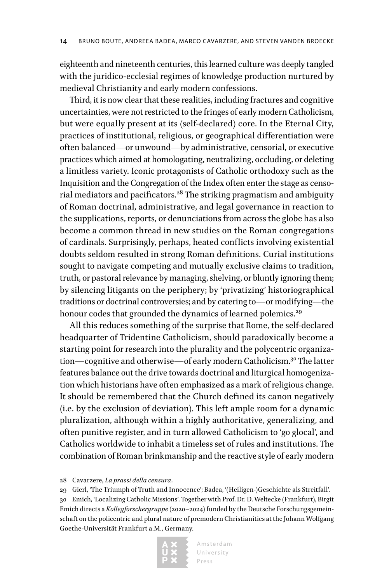eighteenth and nineteenth centuries, this learned culture was deeply tangled with the juridico-ecclesial regimes of knowledge production nurtured by medieval Christianity and early modern confessions.

Third, it is now clear that these realities, including fractures and cognitive uncertainties, were not restricted to the fringes of early modern Catholicism, but were equally present at its (self-declared) core. In the Eternal City, practices of institutional, religious, or geographical differentiation were often balanced—or unwound—by administrative, censorial, or executive practices which aimed at homologating, neutralizing, occluding, or deleting a limitless variety. Iconic protagonists of Catholic orthodoxy such as the Inquisition and the Congregation of the Index often enter the stage as censorial mediators and pacificators.<sup>28</sup> The striking pragmatism and ambiguity of Roman doctrinal, administrative, and legal governance in reaction to the supplications, reports, or denunciations from across the globe has also become a common thread in new studies on the Roman congregations of cardinals. Surprisingly, perhaps, heated conflicts involving existential doubts seldom resulted in strong Roman definitions. Curial institutions sought to navigate competing and mutually exclusive claims to tradition, truth, or pastoral relevance by managing, shelving, or bluntly ignoring them; by silencing litigants on the periphery; by 'privatizing' historiographical traditions or doctrinal controversies; and by catering to—or modifying—the honour codes that grounded the dynamics of learned polemics.<sup>29</sup>

All this reduces something of the surprise that Rome, the self-declared headquarter of Tridentine Catholicism, should paradoxically become a starting point for research into the plurality and the polycentric organization—cognitive and otherwise—of early modern Catholicism.30 The latter features balance out the drive towards doctrinal and liturgical homogenization which historians have often emphasized as a mark of religious change. It should be remembered that the Church defined its canon negatively (i.e. by the exclusion of deviation). This left ample room for a dynamic pluralization, although within a highly authoritative, generalizing, and often punitive register, and in turn allowed Catholicism to 'go glocal', and Catholics worldwide to inhabit a timeless set of rules and institutions. The combination of Roman brinkmanship and the reactive style of early modern

28 Cavarzere, *La prassi della censura*.

29 Gierl, 'The Triumph of Truth and Innocence'; Badea, '(Heiligen-)Geschichte als Streitfall'*.* 30 Emich, 'Localizing Catholic Missions'. Together with Prof. Dr. D. Weltecke (Frankfurt), Birgit Emich directs a *Kollegforschergruppe* (2020–2024) funded by the Deutsche Forschungsgemeinschaft on the policentric and plural nature of premodern Christianities at the Johann Wolfgang Goethe-Universität Frankfurt a.M., Germany.

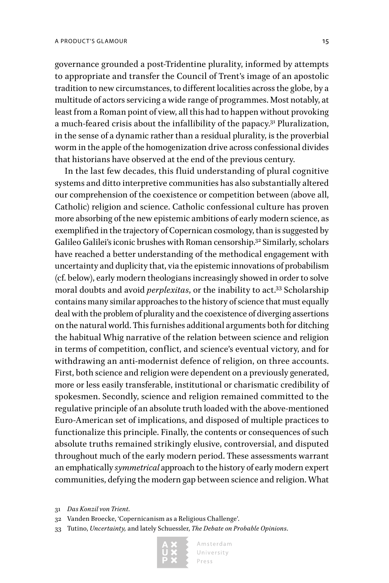governance grounded a post-Tridentine plurality, informed by attempts to appropriate and transfer the Council of Trent's image of an apostolic tradition to new circumstances, to different localities across the globe, by a multitude of actors servicing a wide range of programmes. Most notably, at least from a Roman point of view, all this had to happen without provoking a much-feared crisis about the infallibility of the papacy.<sup>31</sup> Pluralization, in the sense of a dynamic rather than a residual plurality, is the proverbial worm in the apple of the homogenization drive across confessional divides that historians have observed at the end of the previous century.

In the last few decades, this fluid understanding of plural cognitive systems and ditto interpretive communities has also substantially altered our comprehension of the coexistence or competition between (above all, Catholic) religion and science. Catholic confessional culture has proven more absorbing of the new epistemic ambitions of early modern science, as exemplified in the trajectory of Copernican cosmology, than is suggested by Galileo Galilei's iconic brushes with Roman censorship.32 Similarly, scholars have reached a better understanding of the methodical engagement with uncertainty and duplicity that, via the epistemic innovations of probabilism (cf. below), early modern theologians increasingly showed in order to solve moral doubts and avoid *perplexitas*, or the inability to act.33 Scholarship contains many similar approaches to the history of science that must equally deal with the problem of plurality and the coexistence of diverging assertions on the natural world. This furnishes additional arguments both for ditching the habitual Whig narrative of the relation between science and religion in terms of competition, conflict, and science's eventual victory, and for withdrawing an anti-modernist defence of religion, on three accounts. First, both science and religion were dependent on a previously generated, more or less easily transferable, institutional or charismatic credibility of spokesmen. Secondly, science and religion remained committed to the regulative principle of an absolute truth loaded with the above-mentioned Euro-American set of implications, and disposed of multiple practices to functionalize this principle. Finally, the contents or consequences of such absolute truths remained strikingly elusive, controversial, and disputed throughout much of the early modern period. These assessments warrant an emphatically *symmetrical* approach to the history of early modern expert communities, defying the modern gap between science and religion. What

33 Tutino, *Uncertainty,* and lately Schuessler, *The Debate on Probable Opinions*.



<sup>31</sup> *Das Konzil von Trient*.

<sup>32</sup> Vanden Broecke, 'Copernicanism as a Religious Challenge'.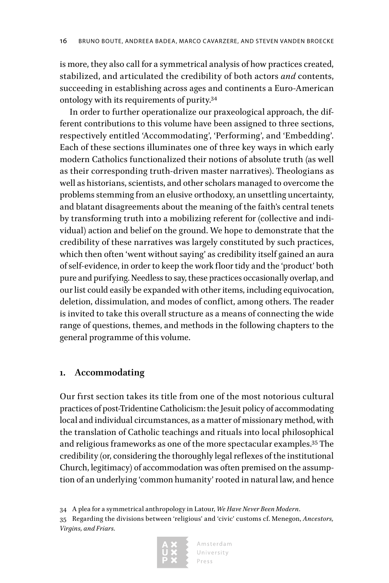is more, they also call for a symmetrical analysis of how practices created, stabilized, and articulated the credibility of both actors *and* contents, succeeding in establishing across ages and continents a Euro-American ontology with its requirements of purity.34

In order to further operationalize our praxeological approach, the different contributions to this volume have been assigned to three sections, respectively entitled 'Accommodating', 'Performing', and 'Embedding'. Each of these sections illuminates one of three key ways in which early modern Catholics functionalized their notions of absolute truth (as well as their corresponding truth-driven master narratives). Theologians as well as historians, scientists, and other scholars managed to overcome the problems stemming from an elusive orthodoxy, an unsettling uncertainty, and blatant disagreements about the meaning of the faith's central tenets by transforming truth into a mobilizing referent for (collective and individual) action and belief on the ground. We hope to demonstrate that the credibility of these narratives was largely constituted by such practices, which then often 'went without saying' as credibility itself gained an aura of self-evidence, in order to keep the work floor tidy and the 'product' both pure and purifying. Needless to say, these practices occasionally overlap, and our list could easily be expanded with other items, including equivocation, deletion, dissimulation, and modes of conflict, among others. The reader is invited to take this overall structure as a means of connecting the wide range of questions, themes, and methods in the following chapters to the general programme of this volume.

#### **1. Accommodating**

Our first section takes its title from one of the most notorious cultural practices of post-Tridentine Catholicism: the Jesuit policy of accommodating local and individual circumstances, as a matter of missionary method, with the translation of Catholic teachings and rituals into local philosophical and religious frameworks as one of the more spectacular examples.35 The credibility (or, considering the thoroughly legal reflexes of the institutional Church, legitimacy) of accommodation was often premised on the assumption of an underlying 'common humanity' rooted in natural law, and hence

34 A plea for a symmetrical anthropology in Latour, *We Have Never Been Modern*. 35 Regarding the divisions between 'religious' and 'civic' customs cf. Menegon, *Ancestors, Virgins, and Friars.*

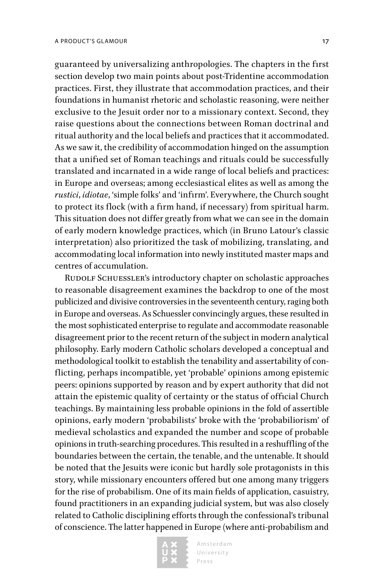guaranteed by universalizing anthropologies. The chapters in the first section develop two main points about post-Tridentine accommodation practices. First, they illustrate that accommodation practices, and their foundations in humanist rhetoric and scholastic reasoning, were neither exclusive to the Jesuit order nor to a missionary context. Second, they raise questions about the connections between Roman doctrinal and ritual authority and the local beliefs and practices that it accommodated. As we saw it, the credibility of accommodation hinged on the assumption that a unified set of Roman teachings and rituals could be successfully translated and incarnated in a wide range of local beliefs and practices: in Europe and overseas; among ecclesiastical elites as well as among the *rustici*, *idiotae*, 'simple folks' and 'infirm'. Everywhere, the Church sought to protect its flock (with a firm hand, if necessary) from spiritual harm. This situation does not differ greatly from what we can see in the domain of early modern knowledge practices, which (in Bruno Latour's classic interpretation) also prioritized the task of mobilizing, translating, and accommodating local information into newly instituted master maps and centres of accumulation.

RUDOLF SCHUESSLER's introductory chapter on scholastic approaches to reasonable disagreement examines the backdrop to one of the most publicized and divisive controversies in the seventeenth century, raging both in Europe and overseas. As Schuessler convincingly argues, these resulted in the most sophisticated enterprise to regulate and accommodate reasonable disagreement prior to the recent return of the subject in modern analytical philosophy. Early modern Catholic scholars developed a conceptual and methodological toolkit to establish the tenability and assertability of conflicting, perhaps incompatible, yet 'probable' opinions among epistemic peers: opinions supported by reason and by expert authority that did not attain the epistemic quality of certainty or the status of official Church teachings. By maintaining less probable opinions in the fold of assertible opinions, early modern 'probabilists' broke with the 'probabiliorism' of medieval scholastics and expanded the number and scope of probable opinions in truth-searching procedures. This resulted in a reshuffling of the boundaries between the certain, the tenable, and the untenable. It should be noted that the Jesuits were iconic but hardly sole protagonists in this story, while missionary encounters offered but one among many triggers for the rise of probabilism. One of its main fields of application, casuistry, found practitioners in an expanding judicial system, but was also closely related to Catholic disciplining efforts through the confessional's tribunal of conscience. The latter happened in Europe (where anti-probabilism and

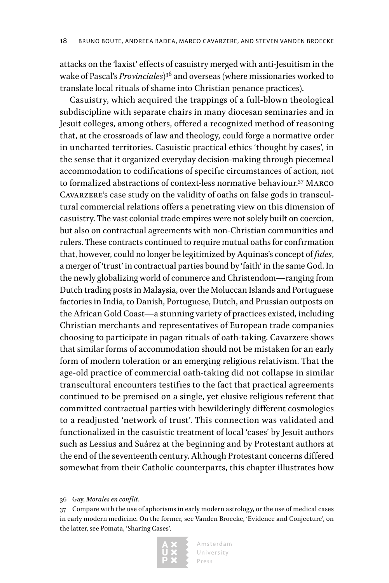attacks on the 'laxist' effects of casuistry merged with anti-Jesuitism in the wake of Pascal's *Provinciales*) 36 and overseas (where missionaries worked to translate local rituals of shame into Christian penance practices).

Casuistry, which acquired the trappings of a full-blown theological subdiscipline with separate chairs in many diocesan seminaries and in Jesuit colleges, among others, offered a recognized method of reasoning that, at the crossroads of law and theology, could forge a normative order in uncharted territories. Casuistic practical ethics 'thought by cases', in the sense that it organized everyday decision-making through piecemeal accommodation to codifications of specific circumstances of action, not to formalized abstractions of context-less normative behaviour.37 Marco Cavarzere's case study on the validity of oaths on false gods in transcultural commercial relations offers a penetrating view on this dimension of casuistry. The vast colonial trade empires were not solely built on coercion, but also on contractual agreements with non-Christian communities and rulers. These contracts continued to require mutual oaths for confirmation that, however, could no longer be legitimized by Aquinas's concept of *fides*, a merger of 'trust' in contractual parties bound by 'faith' in the same God. In the newly globalizing world of commerce and Christendom—ranging from Dutch trading posts in Malaysia, over the Moluccan Islands and Portuguese factories in India, to Danish, Portuguese, Dutch, and Prussian outposts on the African Gold Coast—a stunning variety of practices existed, including Christian merchants and representatives of European trade companies choosing to participate in pagan rituals of oath-taking. Cavarzere shows that similar forms of accommodation should not be mistaken for an early form of modern toleration or an emerging religious relativism. That the age-old practice of commercial oath-taking did not collapse in similar transcultural encounters testifies to the fact that practical agreements continued to be premised on a single, yet elusive religious referent that committed contractual parties with bewilderingly different cosmologies to a readjusted 'network of trust'. This connection was validated and functionalized in the casuistic treatment of local 'cases' by Jesuit authors such as Lessius and Suárez at the beginning and by Protestant authors at the end of the seventeenth century. Although Protestant concerns differed somewhat from their Catholic counterparts, this chapter illustrates how

36 Gay, *Morales en conflit.*

<sup>37</sup> Compare with the use of aphorisms in early modern astrology, or the use of medical cases in early modern medicine. On the former, see Vanden Broecke, 'Evidence and Conjecture', on the latter, see Pomata, 'Sharing Cases'.

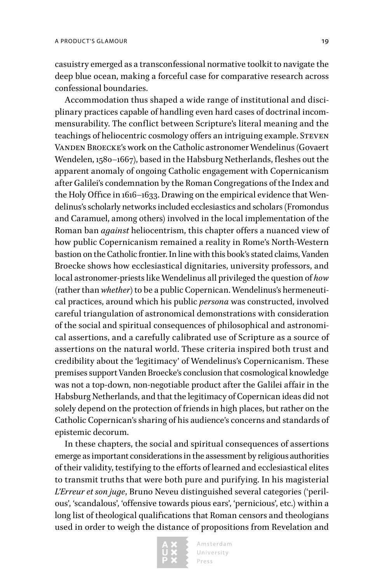casuistry emerged as a transconfessional normative toolkit to navigate the deep blue ocean, making a forceful case for comparative research across confessional boundaries.

Accommodation thus shaped a wide range of institutional and disciplinary practices capable of handling even hard cases of doctrinal incommensurability. The conflict between Scripture's literal meaning and the teachings of heliocentric cosmology offers an intriguing example. STEVEN Vanden Broecke's work on the Catholic astronomer Wendelinus (Govaert Wendelen, 1580–1667), based in the Habsburg Netherlands, fleshes out the apparent anomaly of ongoing Catholic engagement with Copernicanism after Galilei's condemnation by the Roman Congregations of the Index and the Holy Office in 1616–1633. Drawing on the empirical evidence that Wendelinus's scholarly networks included ecclesiastics and scholars (Fromondus and Caramuel, among others) involved in the local implementation of the Roman ban *against* heliocentrism, this chapter offers a nuanced view of how public Copernicanism remained a reality in Rome's North-Western bastion on the Catholic frontier. In line with this book's stated claims, Vanden Broecke shows how ecclesiastical dignitaries, university professors, and local astronomer-priests like Wendelinus all privileged the question of *how*  (rather than *whether*) to be a public Copernican. Wendelinus's hermeneutical practices, around which his public *persona* was constructed, involved careful triangulation of astronomical demonstrations with consideration of the social and spiritual consequences of philosophical and astronomical assertions, and a carefully calibrated use of Scripture as a source of assertions on the natural world. These criteria inspired both trust and credibility about the 'legitimacy' of Wendelinus's Copernicanism. These premises support Vanden Broecke's conclusion that cosmological knowledge was not a top-down, non-negotiable product after the Galilei affair in the Habsburg Netherlands, and that the legitimacy of Copernican ideas did not solely depend on the protection of friends in high places, but rather on the Catholic Copernican's sharing of his audience's concerns and standards of epistemic decorum.

In these chapters, the social and spiritual consequences of assertions emerge as important considerations in the assessment by religious authorities of their validity, testifying to the efforts of learned and ecclesiastical elites to transmit truths that were both pure and purifying. In his magisterial *L'Erreur et son juge*, Bruno Neveu distinguished several categories ('perilous', 'scandalous', 'offensive towards pious ears', 'pernicious', etc.) within a long list of theological qualifications that Roman censors and theologians used in order to weigh the distance of propositions from Revelation and

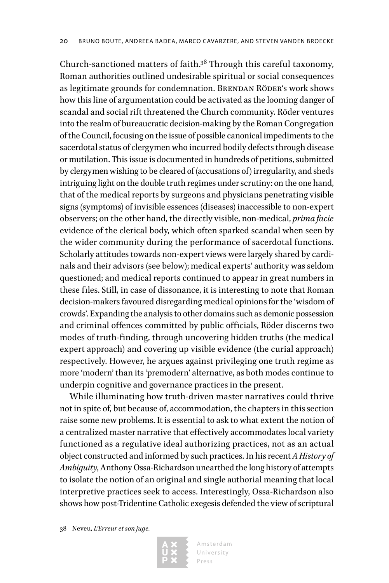Church-sanctioned matters of faith.38 Through this careful taxonomy, Roman authorities outlined undesirable spiritual or social consequences as legitimate grounds for condemnation. BRENDAN RÖDER's work shows how this line of argumentation could be activated as the looming danger of scandal and social rift threatened the Church community. Röder ventures into the realm of bureaucratic decision-making by the Roman Congregation of the Council, focusing on the issue of possible canonical impediments to the sacerdotal status of clergymen who incurred bodily defects through disease or mutilation. This issue is documented in hundreds of petitions, submitted by clergymen wishing to be cleared of (accusations of) irregularity, and sheds intriguing light on the double truth regimes under scrutiny: on the one hand, that of the medical reports by surgeons and physicians penetrating visible signs (symptoms) of invisible essences (diseases) inaccessible to non-expert observers; on the other hand, the directly visible, non-medical, *prima facie* evidence of the clerical body, which often sparked scandal when seen by the wider community during the performance of sacerdotal functions. Scholarly attitudes towards non-expert views were largely shared by cardinals and their advisors (see below); medical experts' authority was seldom questioned; and medical reports continued to appear in great numbers in these files. Still, in case of dissonance, it is interesting to note that Roman decision-makers favoured disregarding medical opinions for the 'wisdom of crowds'. Expanding the analysis to other domains such as demonic possession and criminal offences committed by public officials, Röder discerns two modes of truth-finding, through uncovering hidden truths (the medical expert approach) and covering up visible evidence (the curial approach) respectively. However, he argues against privileging one truth regime as more 'modern' than its 'premodern' alternative, as both modes continue to underpin cognitive and governance practices in the present.

While illuminating how truth-driven master narratives could thrive not in spite of, but because of, accommodation, the chapters in this section raise some new problems. It is essential to ask to what extent the notion of a centralized master narrative that effectively accommodates local variety functioned as a regulative ideal authorizing practices, not as an actual object constructed and informed by such practices. In his recent *A History of Ambiguity*, Anthony Ossa-Richardson unearthed the long history of attempts to isolate the notion of an original and single authorial meaning that local interpretive practices seek to access. Interestingly, Ossa-Richardson also shows how post-Tridentine Catholic exegesis defended the view of scriptural

38 Neveu, *L'Erreur et son juge.*

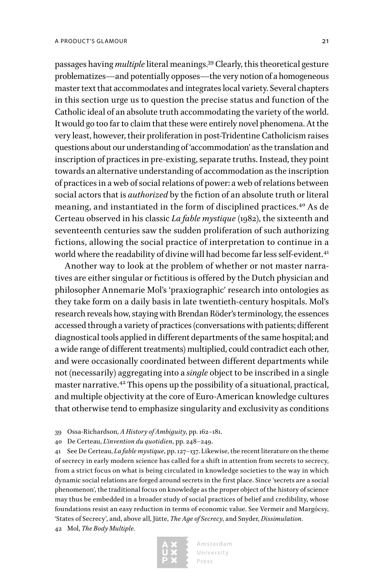passages having *multiple* literal meanings.39 Clearly, this theoretical gesture problematizes—and potentially opposes—the very notion of a homogeneous master text that accommodates and integrates local variety. Several chapters in this section urge us to question the precise status and function of the Catholic ideal of an absolute truth accommodating the variety of the world. It would go too far to claim that these were entirely novel phenomena. At the very least, however, their proliferation in post-Tridentine Catholicism raises questions about our understanding of 'accommodation' as the translation and inscription of practices in pre-existing, separate truths. Instead, they point towards an alternative understanding of accommodation as the inscription of practices in a web of social relations of power: a web of relations between social actors that is *authorized* by the fiction of an absolute truth or literal meaning, and instantiated in the form of disciplined practices.40 As de Certeau observed in his classic *La fable mystique* (1982), the sixteenth and seventeenth centuries saw the sudden proliferation of such authorizing fictions, allowing the social practice of interpretation to continue in a world where the readability of divine will had become far less self-evident.<sup>41</sup>

Another way to look at the problem of whether or not master narratives are either singular or fictitious is offered by the Dutch physician and philosopher Annemarie Mol's 'praxiographic' research into ontologies as they take form on a daily basis in late twentieth-century hospitals. Mol's research reveals how, staying with Brendan Röder's terminology, the essences accessed through a variety of practices (conversations with patients; different diagnostical tools applied in different departments of the same hospital; and a wide range of different treatments) multiplied, could contradict each other, and were occasionally coordinated between different departments while not (necessarily) aggregating into a *single* object to be inscribed in a single master narrative.42 This opens up the possibility of a situational, practical, and multiple objectivity at the core of Euro-American knowledge cultures that otherwise tend to emphasize singularity and exclusivity as conditions

- 39 Ossa-Richardson, *A History of Ambiguity*, pp. 162–181.
- 40 De Certeau, *L'invention du quotidien*, pp. 248–249.

41 See De Certeau, *La fable mystique*, pp. 127–137. Likewise, the recent literature on the theme of secrecy in early modern science has called for a shift in attention from secrets to secrecy, from a strict focus on what is being circulated in knowledge societies to the way in which dynamic social relations are forged around secrets in the first place. Since 'secrets are a social phenomenon', the traditional focus on knowledge as the proper object of the history of science may thus be embedded in a broader study of social practices of belief and credibility, whose foundations resist an easy reduction in terms of economic value. See Vermeir and Margócsy, 'States of Secrecy', and, above all, Jütte, *The Age of Secrecy*, and Snyder, *Dissimulation.* 42 Mol, *The Body Multiple.*

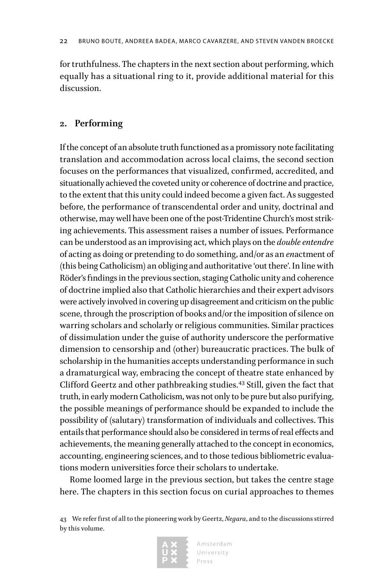for truthfulness. The chapters in the next section about performing, which equally has a situational ring to it, provide additional material for this discussion.

#### **2. Performing**

If the concept of an absolute truth functioned as a promissory note facilitating translation and accommodation across local claims, the second section focuses on the performances that visualized, confirmed, accredited, and situationally achieved the coveted unity or coherence of doctrine and practice, to the extent that this unity could indeed become a given fact. As suggested before, the performance of transcendental order and unity, doctrinal and otherwise, may well have been one of the post-Tridentine Church's most striking achievements. This assessment raises a number of issues. Performance can be understood as an improvising act, which plays on the *double entendre* of acting as doing or pretending to do something, and/or as an *en*actment of (this being Catholicism) an obliging and authoritative 'out there'. In line with Röder's findings in the previous section, staging Catholic unity and coherence of doctrine implied also that Catholic hierarchies and their expert advisors were actively involved in covering up disagreement and criticism on the public scene, through the proscription of books and/or the imposition of silence on warring scholars and scholarly or religious communities. Similar practices of dissimulation under the guise of authority underscore the performative dimension to censorship and (other) bureaucratic practices. The bulk of scholarship in the humanities accepts understanding performance in such a dramaturgical way, embracing the concept of theatre state enhanced by Clifford Geertz and other pathbreaking studies.<sup>43</sup> Still, given the fact that truth, in early modern Catholicism, was not only to be pure but also purifying, the possible meanings of performance should be expanded to include the possibility of (salutary) transformation of individuals and collectives. This entails that performance should also be considered in terms of real effects and achievements, the meaning generally attached to the concept in economics, accounting, engineering sciences, and to those tedious bibliometric evaluations modern universities force their scholars to undertake.

Rome loomed large in the previous section, but takes the centre stage here. The chapters in this section focus on curial approaches to themes

<sup>43</sup> We refer first of all to the pioneering work by Geertz, *Negara*, and to the discussions stirred by this volume.

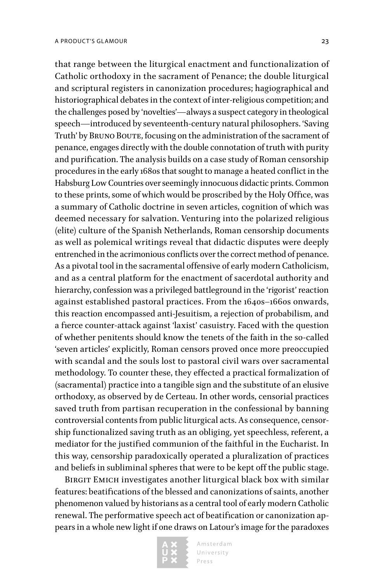that range between the liturgical enactment and functionalization of Catholic orthodoxy in the sacrament of Penance; the double liturgical and scriptural registers in canonization procedures; hagiographical and historiographical debates in the context of inter-religious competition; and the challenges posed by 'novelties'—always a suspect category in theological speech—introduced by seventeenth-century natural philosophers. 'Saving Truth' by BRUNO BOUTE, focusing on the administration of the sacrament of penance, engages directly with the double connotation of truth with purity and purification. The analysis builds on a case study of Roman censorship procedures in the early 1680s that sought to manage a heated conflict in the Habsburg Low Countries over seemingly innocuous didactic prints. Common to these prints, some of which would be proscribed by the Holy Office, was a summary of Catholic doctrine in seven articles, cognition of which was deemed necessary for salvation. Venturing into the polarized religious (elite) culture of the Spanish Netherlands, Roman censorship documents as well as polemical writings reveal that didactic disputes were deeply entrenched in the acrimonious conflicts over the correct method of penance. As a pivotal tool in the sacramental offensive of early modern Catholicism, and as a central platform for the enactment of sacerdotal authority and hierarchy, confession was a privileged battleground in the 'rigorist' reaction against established pastoral practices. From the 1640s–1660s onwards, this reaction encompassed anti-Jesuitism, a rejection of probabilism, and a fierce counter-attack against 'laxist' casuistry. Faced with the question of whether penitents should know the tenets of the faith in the so-called 'seven articles' explicitly, Roman censors proved once more preoccupied with scandal and the souls lost to pastoral civil wars over sacramental methodology. To counter these, they effected a practical formalization of (sacramental) practice into a tangible sign and the substitute of an elusive orthodoxy, as observed by de Certeau. In other words, censorial practices saved truth from partisan recuperation in the confessional by banning controversial contents from public liturgical acts. As consequence, censorship functionalized saving truth as an obliging, yet speechless, referent, a mediator for the justified communion of the faithful in the Eucharist. In this way, censorship paradoxically operated a pluralization of practices and beliefs in subliminal spheres that were to be kept off the public stage.

BIRGIT EMICH investigates another liturgical black box with similar features: beatifications of the blessed and canonizations of saints, another phenomenon valued by historians as a central tool of early modern Catholic renewal. The performative speech act of beatification or canonization appears in a whole new light if one draws on Latour's image for the paradoxes

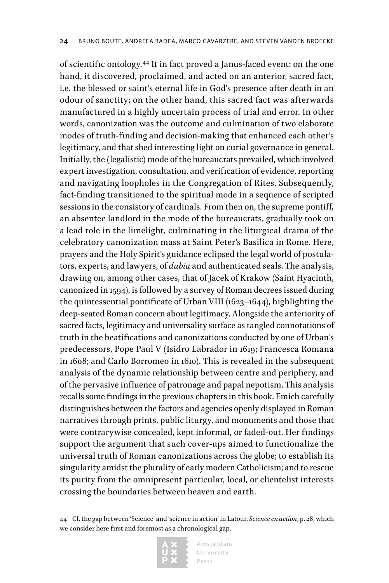of scientific ontology.44 It in fact proved a Janus-faced event: on the one hand, it discovered, proclaimed, and acted on an anterior, sacred fact, i.e. the blessed or saint's eternal life in God's presence after death in an odour of sanctity; on the other hand, this sacred fact was afterwards manufactured in a highly uncertain process of trial and error. In other words, canonization was the outcome and culmination of two elaborate modes of truth-finding and decision-making that enhanced each other's legitimacy, and that shed interesting light on curial governance in general. Initially, the (legalistic) mode of the bureaucrats prevailed, which involved expert investigation, consultation, and verification of evidence, reporting and navigating loopholes in the Congregation of Rites. Subsequently, fact-finding transitioned to the spiritual mode in a sequence of scripted sessions in the consistory of cardinals. From then on, the supreme pontiff, an absentee landlord in the mode of the bureaucrats, gradually took on a lead role in the limelight, culminating in the liturgical drama of the celebratory canonization mass at Saint Peter's Basilica in Rome. Here, prayers and the Holy Spirit's guidance eclipsed the legal world of postulators, experts, and lawyers, of *dubia* and authenticated seals. The analysis, drawing on, among other cases, that of Jacek of Krakow (Saint Hyacinth, canonized in 1594), is followed by a survey of Roman decrees issued during the quintessential pontificate of Urban VIII (1623–1644), highlighting the deep-seated Roman concern about legitimacy. Alongside the anteriority of sacred facts, legitimacy and universality surface as tangled connotations of truth in the beatifications and canonizations conducted by one of Urban´s predecessors, Pope Paul V (Isidro Labrador in 1619; Francesca Romana in 1608; and Carlo Borromeo in 1610). This is revealed in the subsequent analysis of the dynamic relationship between centre and periphery, and of the pervasive influence of patronage and papal nepotism. This analysis recalls some findings in the previous chapters in this book. Emich carefully distinguishes between the factors and agencies openly displayed in Roman narratives through prints, public liturgy, and monuments and those that were contrarywise concealed, kept informal, or faded-out. Her findings support the argument that such cover-ups aimed to functionalize the universal truth of Roman canonizations across the globe; to establish its singularity amidst the plurality of early modern Catholicism; and to rescue its purity from the omnipresent particular, local, or clientelist interests crossing the boundaries between heaven and earth.

<sup>44</sup> Cf. the gap between 'Science' and 'science in action' in Latour, *Science en action*, p. 28, which we consider here first and foremost as a chronological gap.

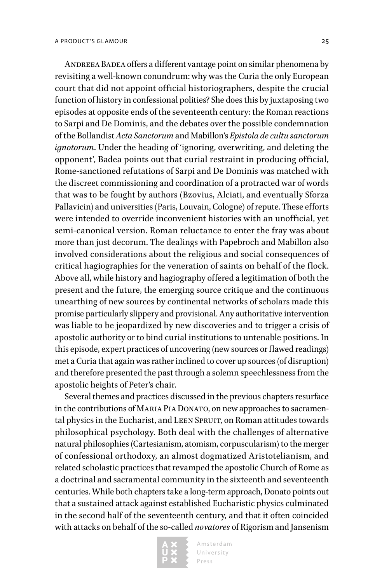ANDREEA BADEA offers a different vantage point on similar phenomena by revisiting a well-known conundrum: why was the Curia the only European court that did not appoint official historiographers, despite the crucial function of history in confessional polities? She does this by juxtaposing two episodes at opposite ends of the seventeenth century: the Roman reactions to Sarpi and De Dominis, and the debates over the possible condemnation of the Bollandist *Acta Sanctorum* and Mabillon's *Epistola de cultu sanctorum ignotorum*. Under the heading of 'ignoring, overwriting, and deleting the opponent', Badea points out that curial restraint in producing official, Rome-sanctioned refutations of Sarpi and De Dominis was matched with the discreet commissioning and coordination of a protracted war of words that was to be fought by authors (Bzovius, Alciati, and eventually Sforza Pallavicin) and universities (Paris, Louvain, Cologne) of repute. These efforts were intended to override inconvenient histories with an unofficial, yet semi-canonical version. Roman reluctance to enter the fray was about more than just decorum. The dealings with Papebroch and Mabillon also involved considerations about the religious and social consequences of critical hagiographies for the veneration of saints on behalf of the flock. Above all, while history and hagiography offered a legitimation of both the present and the future, the emerging source critique and the continuous unearthing of new sources by continental networks of scholars made this promise particularly slippery and provisional. Any authoritative intervention was liable to be jeopardized by new discoveries and to trigger a crisis of apostolic authority or to bind curial institutions to untenable positions. In this episode, expert practices of uncovering (new sources or flawed readings) met a Curia that again was rather inclined to cover up sources (of disruption) and therefore presented the past through a solemn speechlessness from the apostolic heights of Peter's chair.

Several themes and practices discussed in the previous chapters resurface in the contributions of MARIA PIA DONATO, on new approaches to sacramental physics in the Eucharist, and LEEN SPRUIT, on Roman attitudes towards philosophical psychology. Both deal with the challenges of alternative natural philosophies (Cartesianism, atomism, corpuscularism) to the merger of confessional orthodoxy, an almost dogmatized Aristotelianism, and related scholastic practices that revamped the apostolic Church of Rome as a doctrinal and sacramental community in the sixteenth and seventeenth centuries. While both chapters take a long-term approach, Donato points out that a sustained attack against established Eucharistic physics culminated in the second half of the seventeenth century, and that it often coincided with attacks on behalf of the so-called *novatores* of Rigorism and Jansenism

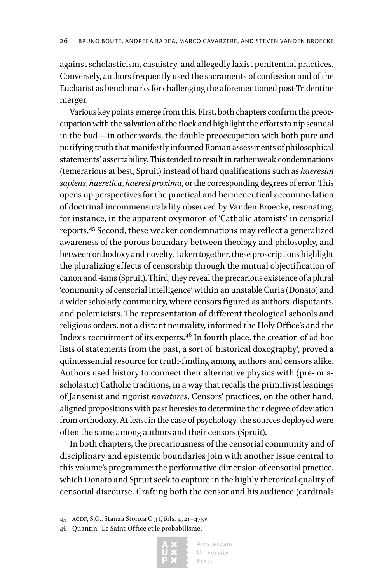against scholasticism, casuistry, and allegedly laxist penitential practices. Conversely, authors frequently used the sacraments of confession and of the Eucharist as benchmarks for challenging the aforementioned post-Tridentine merger.

Various key points emerge from this. First, both chapters confirm the preoccupation with the salvation of the flock and highlight the efforts to nip scandal in the bud—in other words, the double preoccupation with both pure and purifying truth that manifestly informed Roman assessments of philosophical statements' assertability. This tended to result in rather weak condemnations (temerarious at best, Spruit) instead of hard qualifications such as *haeresim sapiens*, *haeretica*, *haeresi proxima*, or the corresponding degrees of error. This opens up perspectives for the practical and hermeneutical accommodation of doctrinal incommensurability observed by Vanden Broecke, resonating, for instance, in the apparent oxymoron of 'Catholic atomists' in censorial reports.45 Second, these weaker condemnations may reflect a generalized awareness of the porous boundary between theology and philosophy, and between orthodoxy and novelty. Taken together, these proscriptions highlight the pluralizing effects of censorship through the mutual objectification of canon and -isms (Spruit). Third, they reveal the precarious existence of a plural 'community of censorial intelligence' within an unstable Curia (Donato) and a wider scholarly community, where censors figured as authors, disputants, and polemicists. The representation of different theological schools and religious orders, not a distant neutrality, informed the Holy Office's and the Index's recruitment of its experts.46 In fourth place, the creation of ad hoc lists of statements from the past, a sort of 'historical doxography', proved a quintessential resource for truth-finding among authors and censors alike. Authors used history to connect their alternative physics with (pre- or ascholastic) Catholic traditions, in a way that recalls the primitivist leanings of Jansenist and rigorist *novatores*. Censors' practices, on the other hand, aligned propositions with past heresies to determine their degree of deviation from orthodoxy. At least in the case of psychology, the sources deployed were often the same among authors and their censors (Spruit).

In both chapters, the precariousness of the censorial community and of disciplinary and epistemic boundaries join with another issue central to this volume's programme: the performative dimension of censorial practice, which Donato and Spruit seek to capture in the highly rhetorical quality of censorial discourse. Crafting both the censor and his audience (cardinals

45 ACDF, S.O., Stanza Storica O 3 f, fols. 472r-475v.

46 Quantin, 'Le Saint-Office et le probabilisme'*.*

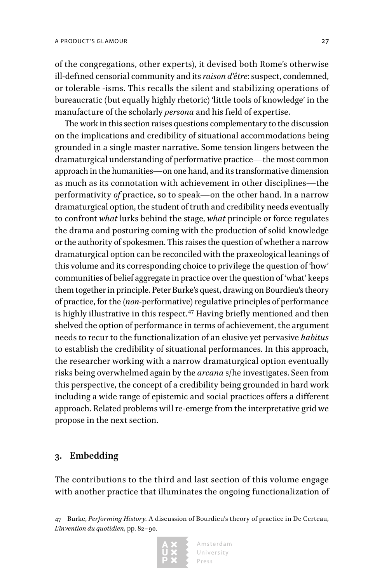of the congregations, other experts), it devised both Rome's otherwise ill-defined censorial community and its *raison d'être*: suspect, condemned, or tolerable -isms. This recalls the silent and stabilizing operations of bureaucratic (but equally highly rhetoric) 'little tools of knowledge' in the manufacture of the scholarly *persona* and his field of expertise.

The work in this section raises questions complementary to the discussion on the implications and credibility of situational accommodations being grounded in a single master narrative. Some tension lingers between the dramaturgical understanding of performative practice—the most common approach in the humanities—on one hand, and its transformative dimension as much as its connotation with achievement in other disciplines—the performativity *of* practice, so to speak—on the other hand. In a narrow dramaturgical option, the student of truth and credibility needs eventually to confront *what* lurks behind the stage, *what* principle or force regulates the drama and posturing coming with the production of solid knowledge or the authority of spokesmen. This raises the question of whether a narrow dramaturgical option can be reconciled with the praxeological leanings of this volume and its corresponding choice to privilege the question of 'how' communities of belief aggregate in practice over the question of 'what' keeps them together in principle. Peter Burke's quest, drawing on Bourdieu's theory of practice, for the (*non-*performative) regulative principles of performance is highly illustrative in this respect.<sup>47</sup> Having briefly mentioned and then shelved the option of performance in terms of achievement, the argument needs to recur to the functionalization of an elusive yet pervasive *habitus* to establish the credibility of situational performances. In this approach, the researcher working with a narrow dramaturgical option eventually risks being overwhelmed again by the *arcana* s/he investigates. Seen from this perspective, the concept of a credibility being grounded in hard work including a wide range of epistemic and social practices offers a different approach. Related problems will re-emerge from the interpretative grid we propose in the next section.

#### **3. Embedding**

The contributions to the third and last section of this volume engage with another practice that illuminates the ongoing functionalization of

<sup>47</sup> Burke, *Performing History.* A discussion of Bourdieu's theory of practice in De Certeau, *L'invention du quotidien*, pp. 82–90.

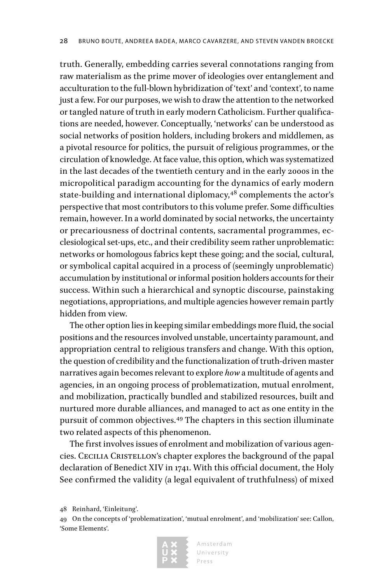truth. Generally, embedding carries several connotations ranging from raw materialism as the prime mover of ideologies over entanglement and acculturation to the full-blown hybridization of 'text' and 'context', to name just a few. For our purposes, we wish to draw the attention to the networked or tangled nature of truth in early modern Catholicism. Further qualifications are needed, however. Conceptually, 'networks' can be understood as social networks of position holders, including brokers and middlemen, as a pivotal resource for politics, the pursuit of religious programmes, or the circulation of knowledge. At face value, this option, which was systematized in the last decades of the twentieth century and in the early 2000s in the micropolitical paradigm accounting for the dynamics of early modern state-building and international diplomacy,<sup>48</sup> complements the actor's perspective that most contributors to this volume prefer. Some difficulties remain, however. In a world dominated by social networks, the uncertainty or precariousness of doctrinal contents, sacramental programmes, ecclesiological set-ups, etc., and their credibility seem rather unproblematic: networks or homologous fabrics kept these going; and the social, cultural, or symbolical capital acquired in a process of (seemingly unproblematic) accumulation by institutional or informal position holders accounts for their success. Within such a hierarchical and synoptic discourse, painstaking negotiations, appropriations, and multiple agencies however remain partly hidden from view.

The other option lies in keeping similar embeddings more fluid, the social positions and the resources involved unstable, uncertainty paramount, and appropriation central to religious transfers and change. With this option, the question of credibility and the functionalization of truth-driven master narratives again becomes relevant to explore *how* a multitude of agents and agencies, in an ongoing process of problematization, mutual enrolment, and mobilization, practically bundled and stabilized resources, built and nurtured more durable alliances, and managed to act as one entity in the pursuit of common objectives.49 The chapters in this section illuminate two related aspects of this phenomenon.

The first involves issues of enrolment and mobilization of various agencies. Cecilia Cristellon's chapter explores the background of the papal declaration of Benedict XIV in 1741. With this official document, the Holy See confirmed the validity (a legal equivalent of truthfulness) of mixed

<sup>49</sup> On the concepts of 'problematization', 'mutual enrolment', and 'mobilization' see: Callon, 'Some Elements'.



<sup>48</sup> Reinhard, 'Einleitung'.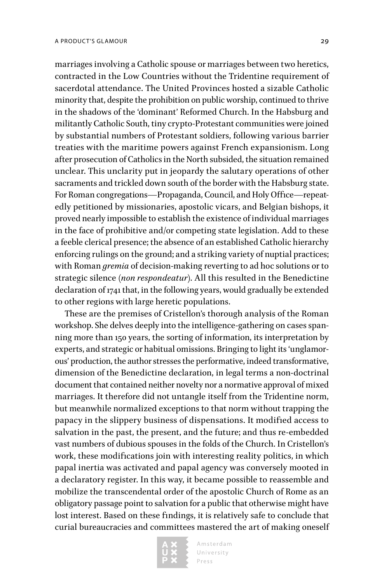marriages involving a Catholic spouse or marriages between two heretics, contracted in the Low Countries without the Tridentine requirement of sacerdotal attendance. The United Provinces hosted a sizable Catholic minority that, despite the prohibition on public worship, continued to thrive in the shadows of the 'dominant' Reformed Church. In the Habsburg and militantly Catholic South, tiny crypto-Protestant communities were joined by substantial numbers of Protestant soldiers, following various barrier treaties with the maritime powers against French expansionism. Long after prosecution of Catholics in the North subsided, the situation remained unclear. This unclarity put in jeopardy the salutary operations of other sacraments and trickled down south of the border with the Habsburg state. For Roman congregations—Propaganda, Council, and Holy Office—repeatedly petitioned by missionaries, apostolic vicars, and Belgian bishops, it proved nearly impossible to establish the existence of individual marriages in the face of prohibitive and/or competing state legislation. Add to these a feeble clerical presence; the absence of an established Catholic hierarchy enforcing rulings on the ground; and a striking variety of nuptial practices; with Roman *gremia* of decision-making reverting to ad hoc solutions or to strategic silence (*non respondeatur*). All this resulted in the Benedictine declaration of 1741 that, in the following years, would gradually be extended to other regions with large heretic populations.

These are the premises of Cristellon's thorough analysis of the Roman workshop. She delves deeply into the intelligence-gathering on cases spanning more than 150 years, the sorting of information, its interpretation by experts, and strategic or habitual omissions. Bringing to light its 'unglamorous' production, the author stresses the performative, indeed transformative, dimension of the Benedictine declaration, in legal terms a non-doctrinal document that contained neither novelty nor a normative approval of mixed marriages. It therefore did not untangle itself from the Tridentine norm, but meanwhile normalized exceptions to that norm without trapping the papacy in the slippery business of dispensations. It modified access to salvation in the past, the present, and the future; and thus re-embedded vast numbers of dubious spouses in the folds of the Church. In Cristellon's work, these modifications join with interesting reality politics, in which papal inertia was activated and papal agency was conversely mooted in a declaratory register. In this way, it became possible to reassemble and mobilize the transcendental order of the apostolic Church of Rome as an obligatory passage point to salvation for a public that otherwise might have lost interest. Based on these findings, it is relatively safe to conclude that curial bureaucracies and committees mastered the art of making oneself

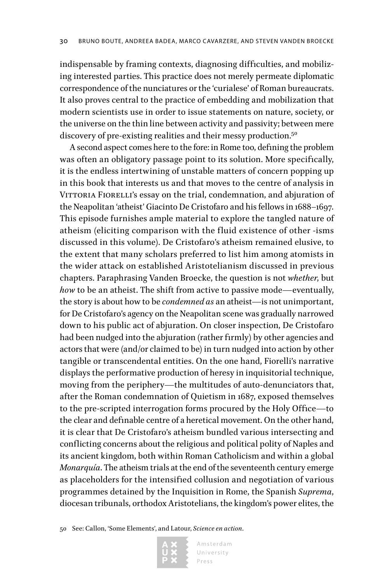indispensable by framing contexts, diagnosing difficulties, and mobilizing interested parties. This practice does not merely permeate diplomatic correspondence of the nunciatures or the 'curialese' of Roman bureaucrats. It also proves central to the practice of embedding and mobilization that modern scientists use in order to issue statements on nature, society, or the universe on the thin line between activity and passivity; between mere discovery of pre-existing realities and their messy production.<sup>50</sup>

A second aspect comes here to the fore: in Rome too, defining the problem was often an obligatory passage point to its solution. More specifically, it is the endless intertwining of unstable matters of concern popping up in this book that interests us and that moves to the centre of analysis in VITTORIA FIORELLI's essay on the trial, condemnation, and abjuration of the Neapolitan 'atheist' Giacinto De Cristofaro and his fellows in 1688–1697. This episode furnishes ample material to explore the tangled nature of atheism (eliciting comparison with the fluid existence of other -isms discussed in this volume). De Cristofaro's atheism remained elusive, to the extent that many scholars preferred to list him among atomists in the wider attack on established Aristotelianism discussed in previous chapters. Paraphrasing Vanden Broecke, the question is not *whether*, but *how* to be an atheist. The shift from active to passive mode—eventually, the story is about how to be *condemned as* an atheist—is not unimportant, for De Cristofaro's agency on the Neapolitan scene was gradually narrowed down to his public act of abjuration. On closer inspection, De Cristofaro had been nudged into the abjuration (rather firmly) by other agencies and actors that were (and/or claimed to be) in turn nudged into action by other tangible or transcendental entities. On the one hand, Fiorelli's narrative displays the performative production of heresy in inquisitorial technique, moving from the periphery—the multitudes of auto-denunciators that, after the Roman condemnation of Quietism in 1687, exposed themselves to the pre-scripted interrogation forms procured by the Holy Office—to the clear and definable centre of a heretical movement. On the other hand, it is clear that De Cristofaro's atheism bundled various intersecting and conflicting concerns about the religious and political polity of Naples and its ancient kingdom, both within Roman Catholicism and within a global *Monarquía*. The atheism trials at the end of the seventeenth century emerge as placeholders for the intensified collusion and negotiation of various programmes detained by the Inquisition in Rome, the Spanish *Suprema*, diocesan tribunals, orthodox Aristotelians, the kingdom's power elites, the

<sup>50</sup> See: Callon, 'Some Elements', and Latour, *Science en action*.

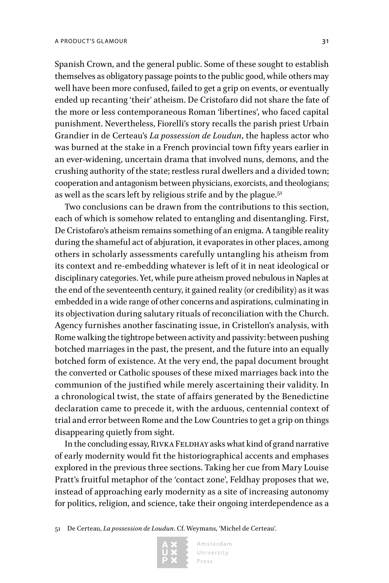Spanish Crown, and the general public. Some of these sought to establish themselves as obligatory passage points to the public good, while others may well have been more confused, failed to get a grip on events, or eventually ended up recanting 'their' atheism. De Cristofaro did not share the fate of the more or less contemporaneous Roman 'libertines', who faced capital punishment. Nevertheless, Fiorelli's story recalls the parish priest Urbain Grandier in de Certeau's *La possession de Loudun*, the hapless actor who was burned at the stake in a French provincial town fifty years earlier in an ever-widening, uncertain drama that involved nuns, demons, and the crushing authority of the state; restless rural dwellers and a divided town; cooperation and antagonism between physicians, exorcists, and theologians; as well as the scars left by religious strife and by the plague.<sup>51</sup>

Two conclusions can be drawn from the contributions to this section, each of which is somehow related to entangling and disentangling. First, De Cristofaro's atheism remains something of an enigma. A tangible reality during the shameful act of abjuration, it evaporates in other places, among others in scholarly assessments carefully untangling his atheism from its context and re-embedding whatever is left of it in neat ideological or disciplinary categories. Yet, while pure atheism proved nebulous in Naples at the end of the seventeenth century, it gained reality (or credibility) as it was embedded in a wide range of other concerns and aspirations, culminating in its objectivation during salutary rituals of reconciliation with the Church. Agency furnishes another fascinating issue, in Cristellon's analysis, with Rome walking the tightrope between activity and passivity: between pushing botched marriages in the past, the present, and the future into an equally botched form of existence. At the very end, the papal document brought the converted or Catholic spouses of these mixed marriages back into the communion of the justified while merely ascertaining their validity. In a chronological twist, the state of affairs generated by the Benedictine declaration came to precede it, with the arduous, centennial context of trial and error between Rome and the Low Countries to get a grip on things disappearing quietly from sight.

In the concluding essay, RIVKA FELDHAY asks what kind of grand narrative of early modernity would fit the historiographical accents and emphases explored in the previous three sections. Taking her cue from Mary Louise Pratt's fruitful metaphor of the 'contact zone', Feldhay proposes that we, instead of approaching early modernity as a site of increasing autonomy for politics, religion, and science, take their ongoing interdependence as a

51 De Certeau, *La possession de Loudun*. Cf. Weymans, 'Michel de Certeau'.

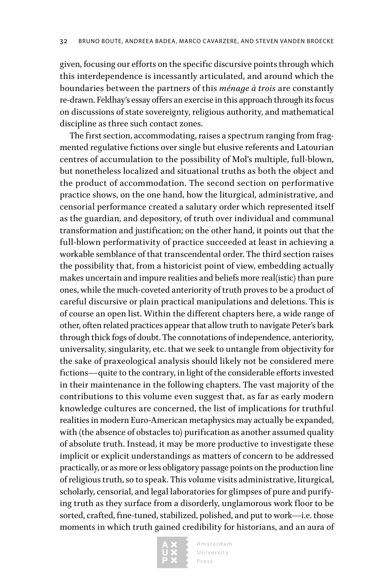given, focusing our efforts on the specific discursive points through which this interdependence is incessantly articulated, and around which the boundaries between the partners of this *ménage à trois* are constantly re-drawn. Feldhay's essay offers an exercise in this approach through its focus on discussions of state sovereignty, religious authority, and mathematical discipline as three such contact zones.

The first section, accommodating, raises a spectrum ranging from fragmented regulative fictions over single but elusive referents and Latourian centres of accumulation to the possibility of Mol's multiple, full-blown, but nonetheless localized and situational truths as both the object and the product of accommodation. The second section on performative practice shows, on the one hand, how the liturgical, administrative, and censorial performance created a salutary order which represented itself as the guardian, and depository, of truth over individual and communal transformation and justification; on the other hand, it points out that the full-blown performativity of practice succeeded at least in achieving a workable semblance of that transcendental order. The third section raises the possibility that, from a historicist point of view, embedding actually makes uncertain and impure realities and beliefs more real(istic) than pure ones, while the much-coveted anteriority of truth proves to be a product of careful discursive or plain practical manipulations and deletions. This is of course an open list. Within the different chapters here, a wide range of other, often related practices appear that allow truth to navigate Peter's bark through thick fogs of doubt. The connotations of independence, anteriority, universality, singularity, etc. that we seek to untangle from objectivity for the sake of praxeological analysis should likely not be considered mere fictions—quite to the contrary, in light of the considerable efforts invested in their maintenance in the following chapters. The vast majority of the contributions to this volume even suggest that, as far as early modern knowledge cultures are concerned, the list of implications for truthful realities in modern Euro-American metaphysics may actually be expanded, with (the absence of obstacles to) purification as another assumed quality of absolute truth. Instead, it may be more productive to investigate these implicit or explicit understandings as matters of concern to be addressed practically, or as more or less obligatory passage points on the production line of religious truth, so to speak. This volume visits administrative, liturgical, scholarly, censorial, and legal laboratories for glimpses of pure and purifying truth as they surface from a disorderly, unglamorous work floor to be sorted, crafted, fine-tuned, stabilized, polished, and put to work—i.e. those moments in which truth gained credibility for historians, and an aura of

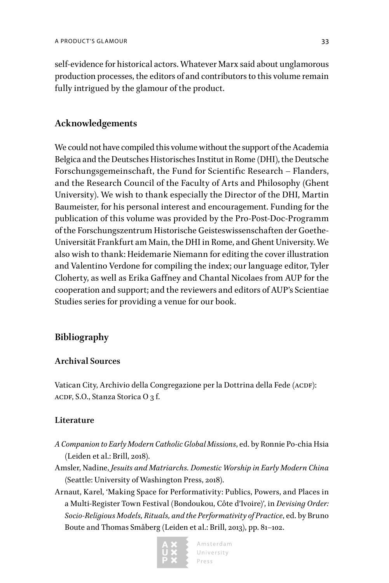self-evidence for historical actors. Whatever Marx said about unglamorous production processes, the editors of and contributors to this volume remain fully intrigued by the glamour of the product.

#### **Acknowledgements**

We could not have compiled this volume without the support of the Academia Belgica and the Deutsches Historisches Institut in Rome (DHI), the Deutsche Forschungsgemeinschaft, the Fund for Scientific Research – Flanders, and the Research Council of the Faculty of Arts and Philosophy (Ghent University). We wish to thank especially the Director of the DHI, Martin Baumeister, for his personal interest and encouragement. Funding for the publication of this volume was provided by the Pro-Post-Doc-Programm of the Forschungszentrum Historische Geisteswissenschaften der Goethe-Universität Frankfurt am Main, the DHI in Rome, and Ghent University. We also wish to thank: Heidemarie Niemann for editing the cover illustration and Valentino Verdone for compiling the index; our language editor, Tyler Cloherty, as well as Erika Gaffney and Chantal Nicolaes from AUP for the cooperation and support; and the reviewers and editors of AUP's Scientiae Studies series for providing a venue for our book.

#### **Bibliography**

#### **Archival Sources**

Vatican City, Archivio della Congregazione per la Dottrina della Fede (ACDF): ACDF, S.O., Stanza Storica O 3 f.

#### **Literature**

- *A Companion to Early Modern Catholic Global Missions*, ed. by Ronnie Po-chia Hsia (Leiden et al.: Brill, 2018).
- Amsler, Nadine, *Jesuits and Matriarchs. Domestic Worship in Early Modern China* (Seattle: University of Washington Press, 2018).
- Arnaut, Karel, 'Making Space for Performativity: Publics, Powers, and Places in a Multi-Register Town Festival (Bondoukou, Côte d'Ivoire)', in *Devising Order: Socio-Religious Models, Rituals, and the Performativity of Practice*, ed. by Bruno Boute and Thomas Småberg (Leiden et al.: Brill, 2013), pp. 81–102.



Amsterdam University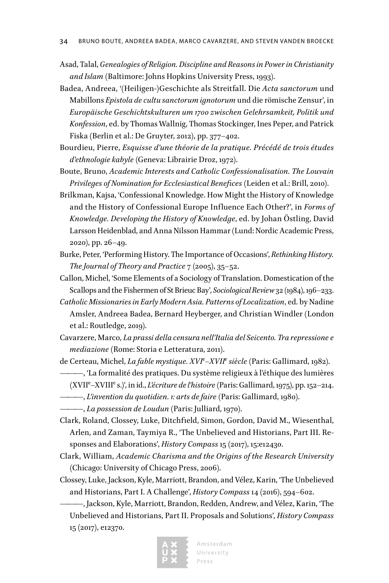- Asad, Talal, *Genealogies of Religion. Discipline and Reasons in Power in Christianity and Islam* (Baltimore: Johns Hopkins University Press, 1993).
- Badea, Andreea, '(Heiligen-)Geschichte als Streitfall. Die *Acta sanctorum* und Mabillons *Epistola de cultu sanctorum ignotorum* und die römische Zensur', in *Europäische Geschichtskulturen um 1700 zwischen Gelehrsamkeit, Politik und Konfession*, ed. by Thomas Wallnig, Thomas Stockinger, Ines Peper, and Patrick Fiska (Berlin et al.: De Gruyter, 2012), pp. 377–402.
- Bourdieu, Pierre, *Esquisse d'une théorie de la pratique. Précédé de trois études d'ethnologie kabyle* (Geneva: Librairie Droz, 1972).
- Boute, Bruno, *Academic Interests and Catholic Confessionalisation. The Louvain Privileges of Nomination for Ecclesiastical Benefices* (Leiden et al.: Brill, 2010).
- Brilkman, Kajsa, 'Confessional Knowledge. How Might the History of Knowledge and the History of Confessional Europe Influence Each Other?', in *Forms of Knowledge. Developing the History of Knowledge*, ed. by Johan Östling, David Larsson Heidenblad, and Anna Nilsson Hammar (Lund: Nordic Academic Press, 2020), pp. 26–49.
- Burke, Peter, 'Performing History. The Importance of Occasions', *Rethinking History. The Journal of Theory and Practice* 7 (2005), 35–52.
- Callon, Michel, 'Some Elements of a Sociology of Translation. Domestication of the Scallops and the Fishermen of St Brieuc Bay', *Sociological Review* 32 (1984), 196–233.
- *Catholic Missionaries in Early Modern Asia. Patterns of Localization*, ed. by Nadine Amsler, Andreea Badea, Bernard Heyberger, and Christian Windler (London et al.: Routledge, 2019).
- Cavarzere, Marco, *La prassi della censura nell'Italia del Seicento. Tra repressione e mediazione* (Rome: Storia e Letteratura, 2011).
- de Certeau, Michel, *La fable mystique. XVIe –XVIIe siècle* (Paris: Gallimard, 1982).
	- ———, 'La formalité des pratiques. Du système religieux à l'éthique des lumières (XVII<sup>e</sup>–XVIII<sup>e</sup> s.)', in id., *L'écriture de l'histoire* (Paris: Gallimard, 1975), pp. 152–214.
	- ———, *L'invention du quotidien. 1: arts de faire* (Paris: Gallimard, 1980).
- ———, *La possession de Loudun* (Paris: Julliard, 1970).
- Clark, Roland, Clossey, Luke, Ditchfield, Simon, Gordon, David M., Wiesenthal, Arlen, and Zaman, Taymiya R., 'The Unbelieved and Historians, Part III. Responses and Elaborations', *History Compass* 15 (2017), 15:e12430.
- Clark, William, *Academic Charisma and the Origins of the Research University* (Chicago: University of Chicago Press, 2006).
- Clossey, Luke, Jackson, Kyle, Marriott, Brandon, and Vélez, Karin, 'The Unbelieved and Historians, Part I. A Challenge', *History Compass* 14 (2016), 594–602.

———, Jackson, Kyle, Marriott, Brandon, Redden, Andrew, and Vélez, Karin, 'The Unbelieved and Historians, Part II. Proposals and Solutions', *History Compass* 15 (2017), e12370.

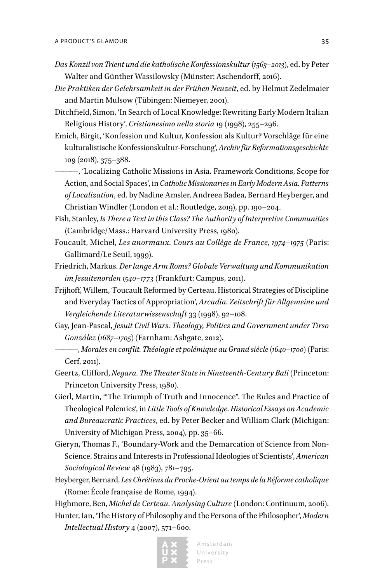- *Das Konzil von Trient und die katholische Konfessionskultur (1563–2013)*, ed. by Peter Walter and Günther Wassilowsky (Münster: Aschendorff, 2016).
- *Die Praktiken der Gelehrsamkeit in der Frühen Neuzeit*, ed. by Helmut Zedelmaier and Martin Mulsow (Tübingen: Niemeyer, 2001).
- Ditchfield, Simon, 'In Search of Local Knowledge: Rewriting Early Modern Italian Religious History', *Cristianesimo nella storia* 19 (1998), 255–296.
- Emich, Birgit, 'Konfession und Kultur, Konfession als Kultur? Vorschläge für eine kulturalistische Konfessionskultur-Forschung', *Archiv für Reformationsgeschichte* 109 (2018), 375–388.
- ———, 'Localizing Catholic Missions in Asia. Framework Conditions, Scope for Action, and Social Spaces', in *Catholic Missionaries in Early Modern Asia. Patterns of Localization*, ed. by Nadine Amsler, Andreea Badea, Bernard Heyberger, and Christian Windler (London et al.: Routledge, 2019), pp. 190–204.
- Fish, Stanley, *Is There a Text in this Class? The Authority of Interpretive Communities*  (Cambridge/Mass.: Harvard University Press, 1980).
- Foucault, Michel, *Les anormaux. Cours au Collège de France, 1974*–*1975* (Paris: Gallimard/Le Seuil, 1999).
- Friedrich, Markus. *Der lange Arm Roms? Globale Verwaltung und Kommunikation im Jesuitenorden 1540–1773* (Frankfurt: Campus, 2011).
- Frijhoff, Willem, 'Foucault Reformed by Certeau. Historical Strategies of Discipline and Everyday Tactics of Appropriation', *Arcadia. Zeitschrift für Allgemeine und Vergleichende Literaturwissenschaft* 33 (1998), 92–108.
- Gay, Jean-Pascal, *Jesuit Civil Wars. Theology, Politics and Government under Tirso González (1687–1705)* (Farnham: Ashgate, 2012).
- ———, *Morales en conflit. Théologie et polémique au Grand siècle (1640–1700)* (Paris: Cerf, 2011).
- Geertz, Clifford, *Negara. The Theater State in Nineteenth-Century Bali* (Princeton: Princeton University Press, 1980).
- Gierl, Martin, '"The Triumph of Truth and Innocence". The Rules and Practice of Theological Polemics', in *Little Tools of Knowledge. Historical Essays on Academic and Bureaucratic Practices*, ed. by Peter Becker and William Clark (Michigan: University of Michigan Press, 2004), pp. 35–66.
- Gieryn, Thomas F., 'Boundary-Work and the Demarcation of Science from Non-Science. Strains and Interests in Professional Ideologies of Scientists', *American Sociological Review* 48 (1983), 781–795.
- Heyberger, Bernard, *Les Chrétiens du Proche-Orient au temps de la Réforme catholique* (Rome: École française de Rome, 1994).

Highmore, Ben, *Michel de Certeau. Analysing Culture* (London: Continuum, 2006).

Hunter, Ian, 'The History of Philosophy and the Persona of the Philosopher', *Modern Intellectual History* 4 (2007), 571–600.

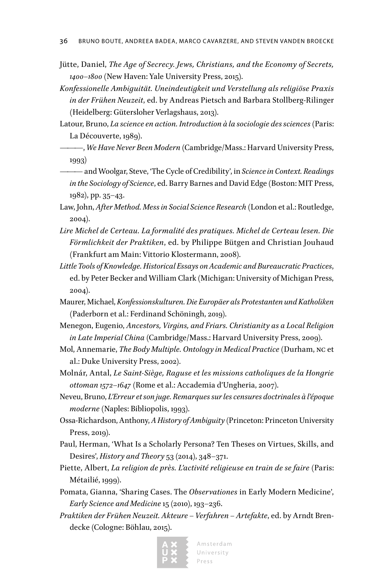- Jütte, Daniel, *The Age of Secrecy. Jews, Christians, and the Economy of Secrets, 1400–1800* (New Haven: Yale University Press, 2015).
- *Konfessionelle Ambiguität. Uneindeutigkeit und Verstellung als religiöse Praxis in der Frühen Neuzeit*, ed. by Andreas Pietsch and Barbara Stollberg-Rilinger (Heidelberg: Gütersloher Verlagshaus, 2013).
- Latour, Bruno, *La science en action. Introduction à la sociologie des sciences* (Paris: La Découverte, 1989).
- ———, *We Have Never Been Modern* (Cambridge/Mass.: Harvard University Press, 1993)
- ——— and Woolgar, Steve, 'The Cycle of Credibility', in *Science in Context. Readings in the Sociology of Science*, ed. Barry Barnes and David Edge (Boston: MIT Press, 1982), pp. 35–43.
- Law, John, *After Method. Mess in Social Science Research* (London et al.: Routledge, 2004).
- *Lire Michel de Certeau. La formalité des pratiques. Michel de Certeau lesen. Die Förmlichkeit der Praktiken*, ed. by Philippe Bütgen and Christian Jouhaud (Frankfurt am Main: Vittorio Klostermann, 2008).
- *Little Tools of Knowledge. Historical Essays on Academic and Bureaucratic Practices*, ed. by Peter Becker and William Clark (Michigan: University of Michigan Press, 2004).
- Maurer, Michael, *Konfessionskulturen. Die Europäer als Protestanten und Katholiken* (Paderborn et al.: Ferdinand Schöningh, 2019).
- Menegon, Eugenio, *Ancestors, Virgins, and Friars. Christianity as a Local Religion in Late Imperial China* (Cambridge/Mass.: Harvard University Press, 2009).
- Mol, Annemarie, *The Body Multiple. Ontology in Medical Practice* (Durham, nc et al.: Duke University Press, 2002).
- Molnár, Antal, *Le Saint-Siège, Raguse et les missions catholiques de la Hongrie ottoman 1572–1647* (Rome et al.: Accademia d'Ungheria, 2007).
- Neveu, Bruno, *L'Erreur et son juge. Remarques sur les censures doctrinales à l'époque moderne* (Naples: Bibliopolis, 1993).
- Ossa-Richardson, Anthony, *A History of Ambiguity* (Princeton: Princeton University Press, 2019).
- Paul, Herman, 'What Is a Scholarly Persona? Ten Theses on Virtues, Skills, and Desires', *History and Theory* 53 (2014), 348–371.
- Piette, Albert, *La religion de près. L'activité religieuse en train de se faire* (Paris: Métailié, 1999).
- Pomata, Gianna, 'Sharing Cases. The *Observationes* in Early Modern Medicine', *Early Science and Medicine* 15 (2010), 193–236.
- *Praktiken der Frühen Neuzeit. Akteure Verfahren Artefakte*, ed. by Arndt Brendecke (Cologne: Böhlau, 2015).

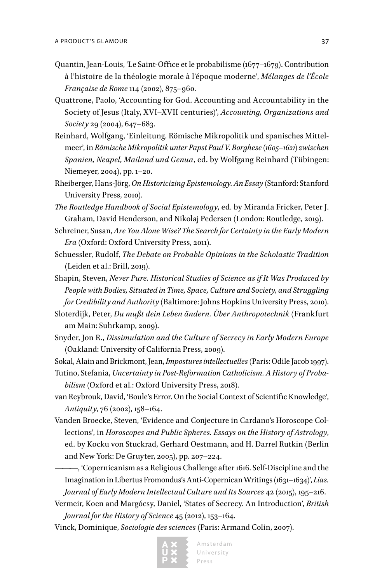- Quantin, Jean-Louis, 'Le Saint-Office et le probabilisme (1677–1679). Contribution à l'histoire de la théologie morale à l'époque moderne', *Mélanges de l'École Française de Rome* 114 (2002), 875–960.
- Quattrone, Paolo, 'Accounting for God. Accounting and Accountability in the Society of Jesus (Italy, XVI–XVII centuries)', *Accounting, Organizations and Society* 29 (2004), 647*–*683.
- Reinhard, Wolfgang, 'Einleitung. Römische Mikropolitik und spanisches Mittelmeer', in *Römische Mikropolitik unter Papst Paul V. Borghese (1605–1621) zwischen Spanien, Neapel, Mailand und Genua*, ed. by Wolfgang Reinhard (Tübingen: Niemeyer, 2004), pp. 1–20.
- Rheiberger, Hans-Jörg, *On Historicizing Epistemology. An Essay* (Stanford: Stanford University Press, 2010).
- *The Routledge Handbook of Social Epistemology*, ed. by Miranda Fricker, Peter J. Graham, David Henderson, and Nikolaj Pedersen (London: Routledge, 2019).
- Schreiner, Susan, *Are You Alone Wise? The Search for Certainty in the Early Modern Era* (Oxford: Oxford University Press, 2011).
- Schuessler, Rudolf, *The Debate on Probable Opinions in the Scholastic Tradition* (Leiden et al.: Brill, 2019).
- Shapin, Steven, *Never Pure. Historical Studies of Science as if It Was Produced by People with Bodies, Situated in Time, Space, Culture and Society, and Struggling for Credibility and Authority* (Baltimore: Johns Hopkins University Press, 2010).
- Sloterdijk, Peter, *Du mußt dein Leben ändern. Über Anthropotechnik* (Frankfurt am Main: Suhrkamp, 2009).
- Snyder, Jon R., *Dissimulation and the Culture of Secrecy in Early Modern Europe* (Oakland: University of California Press, 2009).
- Sokal, Alain and Brickmont, Jean, *Impostures intellectuelles* (Paris: Odile Jacob 1997).
- Tutino, Stefania, *Uncertainty in Post-Reformation Catholicism. A History of Probabilism* (Oxford et al.: Oxford University Press, 2018).
- van Reybrouk, David, 'Boule's Error. On the Social Context of Scientific Knowledge', *Antiquity*, 76 (2002), 158–164.
- Vanden Broecke, Steven, 'Evidence and Conjecture in Cardano's Horoscope Collections', in *Horoscopes and Public Spheres. Essays on the History of Astrology*, ed. by Kocku von Stuckrad, Gerhard Oestmann, and H. Darrel Rutkin (Berlin and New York: De Gruyter, 2005), pp. 207–224.
- ———, 'Copernicanism as a Religious Challenge after 1616. Self-Discipline and the Imagination in Libertus Fromondus's Anti-Copernican Writings (1631–1634)', *Lias. Journal of Early Modern Intellectual Culture and Its Sources* 42 (2015), 195–216.
- Vermeir, Koen and Margócsy, Daniel, 'States of Secrecy. An Introduction', *British Journal for the History of Science* 45 (2012), 153–164.
- Vinck, Dominique, *Sociologie des sciences* (Paris: Armand Colin, 2007).